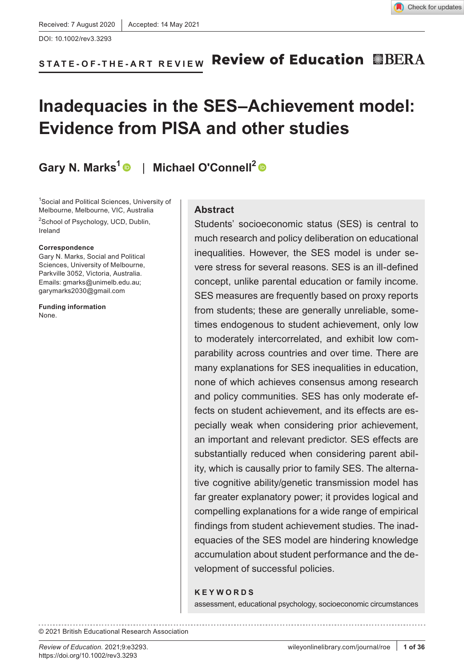

#### **Review of Education EBERA STATE- OF- THE- ART REVIEW**

# **Inadequacies in the SES–Achievement model: Evidence from PISA and other studies**

**Gary N. Marks[1](https://orcid.org/0000-0002-7380-5243)** | **Michael O'Connell2**

1 Social and Political Sciences, University of Melbourne, Melbourne, VIC, Australia

<sup>2</sup>School of Psychology, UCD, Dublin, Ireland

#### **Correspondence**

Gary N. Marks, Social and Political Sciences, University of Melbourne, Parkville 3052, Victoria, Australia. Emails: [gmarks@unimelb.edu.au;](mailto:gmarks@unimelb.edu.au) [garymarks2030@gmail.com](mailto:garymarks2030@gmail.com)

**Funding information** None.

#### **Abstract**

Students' socioeconomic status (SES) is central to much research and policy deliberation on educational inequalities. However, the SES model is under severe stress for several reasons. SES is an ill-defined concept, unlike parental education or family income. SES measures are frequently based on proxy reports from students; these are generally unreliable, sometimes endogenous to student achievement, only low to moderately intercorrelated, and exhibit low comparability across countries and over time. There are many explanations for SES inequalities in education, none of which achieves consensus among research and policy communities. SES has only moderate effects on student achievement, and its effects are especially weak when considering prior achievement, an important and relevant predictor. SES effects are substantially reduced when considering parent ability, which is causally prior to family SES. The alternative cognitive ability/genetic transmission model has far greater explanatory power; it provides logical and compelling explanations for a wide range of empirical findings from student achievement studies. The inadequacies of the SES model are hindering knowledge accumulation about student performance and the development of successful policies.

#### **KEYWORDS**

assessment, educational psychology, socioeconomic circumstances

© 2021 British Educational Research Association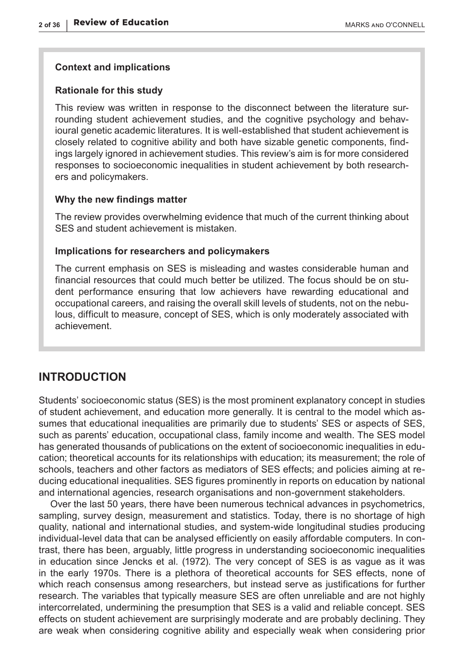#### **Context and implications**

#### **Rationale for this study**

This review was written in response to the disconnect between the literature surrounding student achievement studies, and the cognitive psychology and behavioural genetic academic literatures. It is well-established that student achievement is closely related to cognitive ability and both have sizable genetic components, findings largely ignored in achievement studies. This review's aim is for more considered responses to socioeconomic inequalities in student achievement by both researchers and policymakers.

#### **Why the new findings matter**

The review provides overwhelming evidence that much of the current thinking about SES and student achievement is mistaken.

#### **Implications for researchers and policymakers**

The current emphasis on SES is misleading and wastes considerable human and financial resources that could much better be utilized. The focus should be on student performance ensuring that low achievers have rewarding educational and occupational careers, and raising the overall skill levels of students, not on the nebulous, difficult to measure, concept of SES, which is only moderately associated with achievement.

### **INTRODUCTION**

Students' socioeconomic status (SES) is the most prominent explanatory concept in studies of student achievement, and education more generally. It is central to the model which assumes that educational inequalities are primarily due to students' SES or aspects of SES, such as parents' education, occupational class, family income and wealth. The SES model has generated thousands of publications on the extent of socioeconomic inequalities in education; theoretical accounts for its relationships with education; its measurement; the role of schools, teachers and other factors as mediators of SES effects; and policies aiming at reducing educational inequalities. SES figures prominently in reports on education by national and international agencies, research organisations and non-government stakeholders.

Over the last 50 years, there have been numerous technical advances in psychometrics, sampling, survey design, measurement and statistics. Today, there is no shortage of high quality, national and international studies, and system-wide longitudinal studies producing individual-level data that can be analysed efficiently on easily affordable computers. In contrast, there has been, arguably, little progress in understanding socioeconomic inequalities in education since Jencks et al. (1972). The very concept of SES is as vague as it was in the early 1970s. There is a plethora of theoretical accounts for SES effects, none of which reach consensus among researchers, but instead serve as justifications for further research. The variables that typically measure SES are often unreliable and are not highly intercorrelated, undermining the presumption that SES is a valid and reliable concept. SES effects on student achievement are surprisingly moderate and are probably declining. They are weak when considering cognitive ability and especially weak when considering prior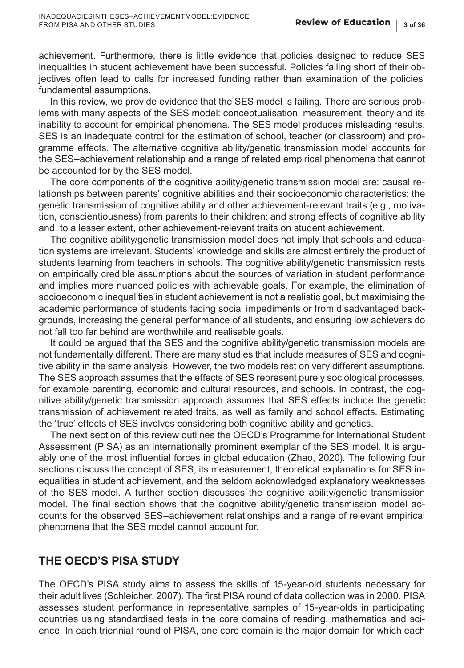achievement. Furthermore, there is little evidence that policies designed to reduce SES inequalities in student achievement have been successful. Policies falling short of their objectives often lead to calls for increased funding rather than examination of the policies' fundamental assumptions.

In this review, we provide evidence that the SES model is failing. There are serious problems with many aspects of the SES model: conceptualisation, measurement, theory and its inability to account for empirical phenomena. The SES model produces misleading results. SES is an inadequate control for the estimation of school, teacher (or classroom) and programme effects. The alternative cognitive ability/genetic transmission model accounts for the SES–achievement relationship and a range of related empirical phenomena that cannot be accounted for by the SES model.

The core components of the cognitive ability/genetic transmission model are: causal relationships between parents' cognitive abilities and their socioeconomic characteristics; the genetic transmission of cognitive ability and other achievement-relevant traits (e.g., motivation, conscientiousness) from parents to their children; and strong effects of cognitive ability and, to a lesser extent, other achievement-relevant traits on student achievement.

The cognitive ability/genetic transmission model does not imply that schools and education systems are irrelevant. Students' knowledge and skills are almost entirely the product of students learning from teachers in schools. The cognitive ability/genetic transmission rests on empirically credible assumptions about the sources of variation in student performance and implies more nuanced policies with achievable goals. For example, the elimination of socioeconomic inequalities in student achievement is not a realistic goal, but maximising the academic performance of students facing social impediments or from disadvantaged backgrounds, increasing the general performance of all students, and ensuring low achievers do not fall too far behind are worthwhile and realisable goals.

It could be argued that the SES and the cognitive ability/genetic transmission models are not fundamentally different. There are many studies that include measures of SES and cognitive ability in the same analysis. However, the two models rest on very different assumptions. The SES approach assumes that the effects of SES represent purely sociological processes, for example parenting, economic and cultural resources, and schools. In contrast, the cognitive ability/genetic transmission approach assumes that SES effects include the genetic transmission of achievement related traits, as well as family and school effects. Estimating the 'true' effects of SES involves considering both cognitive ability and genetics.

The next section of this review outlines the OECD's Programme for International Student Assessment (PISA) as an internationally prominent exemplar of the SES model. It is arguably one of the most influential forces in global education (Zhao, 2020). The following four sections discuss the concept of SES, its measurement, theoretical explanations for SES inequalities in student achievement, and the seldom acknowledged explanatory weaknesses of the SES model. A further section discusses the cognitive ability/genetic transmission model. The final section shows that the cognitive ability/genetic transmission model accounts for the observed SES–achievement relationships and a range of relevant empirical phenomena that the SES model cannot account for.

# **THE OECD'S PISA STUDY**

The OECD's PISA study aims to assess the skills of 15-year-old students necessary for their adult lives (Schleicher, 2007). The first PISA round of data collection was in 2000. PISA assesses student performance in representative samples of 15-year-olds in participating countries using standardised tests in the core domains of reading, mathematics and science. In each triennial round of PISA, one core domain is the major domain for which each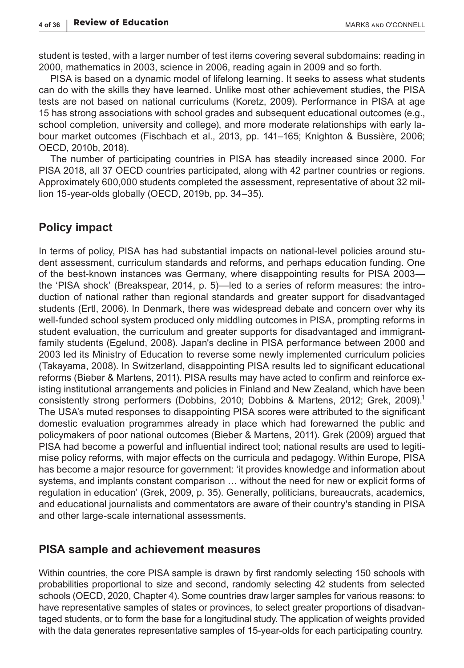student is tested, with a larger number of test items covering several subdomains: reading in 2000, mathematics in 2003, science in 2006, reading again in 2009 and so forth.

PISA is based on a dynamic model of lifelong learning. It seeks to assess what students can do with the skills they have learned. Unlike most other achievement studies, the PISA tests are not based on national curriculums (Koretz, 2009). Performance in PISA at age 15 has strong associations with school grades and subsequent educational outcomes (e.g., school completion, university and college), and more moderate relationships with early labour market outcomes (Fischbach et al., 2013, pp. 141–165; Knighton & Bussière, 2006; OECD, 2010b, 2018).

The number of participating countries in PISA has steadily increased since 2000. For PISA 2018, all 37 OECD countries participated, along with 42 partner countries or regions. Approximately 600,000 students completed the assessment, representative of about 32 million 15-year-olds globally (OECD, 2019b, pp. 34–35).

# **Policy impact**

In terms of policy, PISA has had substantial impacts on national-level policies around student assessment, curriculum standards and reforms, and perhaps education funding. One of the best-known instances was Germany, where disappointing results for PISA 2003 the 'PISA shock' (Breakspear, 2014, p. 5)—led to a series of reform measures: the introduction of national rather than regional standards and greater support for disadvantaged students (Ertl, 2006). In Denmark, there was widespread debate and concern over why its well-funded school system produced only middling outcomes in PISA, prompting reforms in student evaluation, the curriculum and greater supports for disadvantaged and immigrantfamily students (Egelund, 2008). Japan's decline in PISA performance between 2000 and 2003 led its Ministry of Education to reverse some newly implemented curriculum policies (Takayama, 2008). In Switzerland, disappointing PISA results led to significant educational reforms (Bieber & Martens, 2011). PISA results may have acted to confirm and reinforce existing institutional arrangements and policies in Finland and New Zealand, which have been consistently strong performers (Dobbins, 2010; Dobbins & Martens, 2012; Grek, 2009).<sup>1</sup> The USA's muted responses to disappointing PISA scores were attributed to the significant domestic evaluation programmes already in place which had forewarned the public and policymakers of poor national outcomes (Bieber & Martens, 2011). Grek (2009) argued that PISA had become a powerful and influential indirect tool; national results are used to legitimise policy reforms, with major effects on the curricula and pedagogy. Within Europe, PISA has become a major resource for government: 'it provides knowledge and information about systems, and implants constant comparison … without the need for new or explicit forms of regulation in education' (Grek, 2009, p. 35). Generally, politicians, bureaucrats, academics, and educational journalists and commentators are aware of their country's standing in PISA and other large-scale international assessments.

#### **PISA sample and achievement measures**

Within countries, the core PISA sample is drawn by first randomly selecting 150 schools with probabilities proportional to size and second, randomly selecting 42 students from selected schools (OECD, 2020, Chapter 4). Some countries draw larger samples for various reasons: to have representative samples of states or provinces, to select greater proportions of disadvantaged students, or to form the base for a longitudinal study. The application of weights provided with the data generates representative samples of 15-year-olds for each participating country.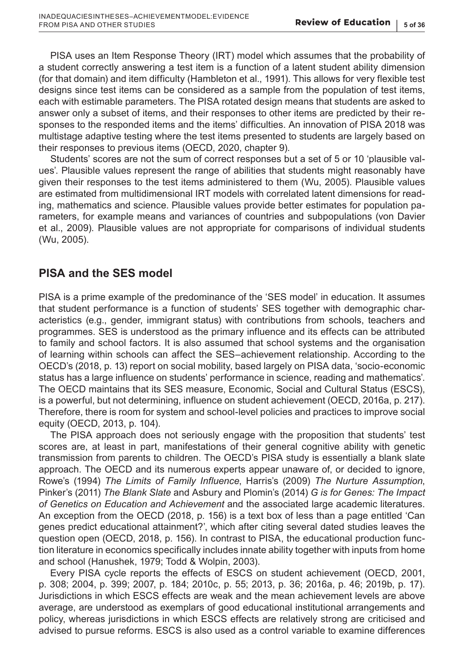PISA uses an Item Response Theory (IRT) model which assumes that the probability of a student correctly answering a test item is a function of a latent student ability dimension (for that domain) and item difficulty (Hambleton et al., 1991). This allows for very flexible test designs since test items can be considered as a sample from the population of test items, each with estimable parameters. The PISA rotated design means that students are asked to answer only a subset of items, and their responses to other items are predicted by their responses to the responded items and the items' difficulties. An innovation of PISA 2018 was multistage adaptive testing where the test items presented to students are largely based on their responses to previous items (OECD, 2020, chapter 9).

Students' scores are not the sum of correct responses but a set of 5 or 10 'plausible values'. Plausible values represent the range of abilities that students might reasonably have given their responses to the test items administered to them (Wu, 2005). Plausible values are estimated from multidimensional IRT models with correlated latent dimensions for reading, mathematics and science. Plausible values provide better estimates for population parameters, for example means and variances of countries and subpopulations (von Davier et al., 2009). Plausible values are not appropriate for comparisons of individual students (Wu, 2005).

# **PISA and the SES model**

PISA is a prime example of the predominance of the 'SES model' in education. It assumes that student performance is a function of students' SES together with demographic characteristics (e.g., gender, immigrant status) with contributions from schools, teachers and programmes. SES is understood as the primary influence and its effects can be attributed to family and school factors. It is also assumed that school systems and the organisation of learning within schools can affect the SES–achievement relationship. According to the OECD's (2018, p. 13) report on social mobility, based largely on PISA data, 'socio-economic status has a large influence on students' performance in science, reading and mathematics'. The OECD maintains that its SES measure, Economic, Social and Cultural Status (ESCS), is a powerful, but not determining, influence on student achievement (OECD, 2016a, p. 217). Therefore, there is room for system and school-level policies and practices to improve social equity (OECD, 2013, p. 104).

The PISA approach does not seriously engage with the proposition that students' test scores are, at least in part, manifestations of their general cognitive ability with genetic transmission from parents to children. The OECD's PISA study is essentially a blank slate approach. The OECD and its numerous experts appear unaware of, or decided to ignore, Rowe's (1994) *The Limits of Family Influence*, Harris's (2009) *The Nurture Assumption*, Pinker's (2011) *The Blank Slate* and Asbury and Plomin's (2014) *G is for Genes: The Impact of Genetics on Education and Achievement* and the associated large academic literatures. An exception from the OECD (2018, p. 156) is a text box of less than a page entitled 'Can genes predict educational attainment?', which after citing several dated studies leaves the question open (OECD, 2018, p. 156). In contrast to PISA, the educational production function literature in economics specifically includes innate ability together with inputs from home and school (Hanushek, 1979; Todd & Wolpin, 2003).

Every PISA cycle reports the effects of ESCS on student achievement (OECD, 2001, p. 308; 2004, p. 399; 2007, p. 184; 2010c, p. 55; 2013, p. 36; 2016a, p. 46; 2019b, p. 17). Jurisdictions in which ESCS effects are weak and the mean achievement levels are above average, are understood as exemplars of good educational institutional arrangements and policy, whereas jurisdictions in which ESCS effects are relatively strong are criticised and advised to pursue reforms. ESCS is also used as a control variable to examine differences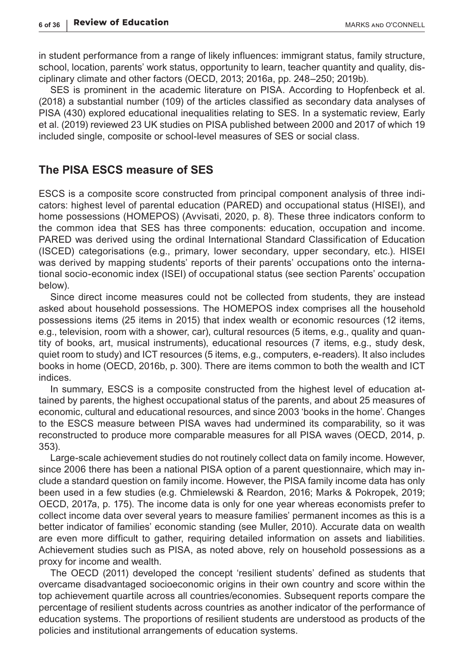in student performance from a range of likely influences: immigrant status, family structure, school, location, parents' work status, opportunity to learn, teacher quantity and quality, disciplinary climate and other factors (OECD, 2013; 2016a, pp. 248–250; 2019b).

SES is prominent in the academic literature on PISA. According to Hopfenbeck et al. (2018) a substantial number (109) of the articles classified as secondary data analyses of PISA (430) explored educational inequalities relating to SES. In a systematic review, Early et al. (2019) reviewed 23 UK studies on PISA published between 2000 and 2017 of which 19 included single, composite or school-level measures of SES or social class.

### **The PISA ESCS measure of SES**

ESCS is a composite score constructed from principal component analysis of three indicators: highest level of parental education (PARED) and occupational status (HISEI), and home possessions (HOMEPOS) (Avvisati, 2020, p. 8). These three indicators conform to the common idea that SES has three components: education, occupation and income. PARED was derived using the ordinal International Standard Classification of Education (ISCED) categorisations (e.g., primary, lower secondary, upper secondary, etc.). HISEI was derived by mapping students' reports of their parents' occupations onto the international socio-economic index (ISEI) of occupational status (see section Parents' occupation below).

Since direct income measures could not be collected from students, they are instead asked about household possessions. The HOMEPOS index comprises all the household possessions items (25 items in 2015) that index wealth or economic resources (12 items, e.g., television, room with a shower, car), cultural resources (5 items, e.g., quality and quantity of books, art, musical instruments), educational resources (7 items, e.g., study desk, quiet room to study) and ICT resources (5 items, e.g., computers, e-readers). It also includes books in home (OECD, 2016b, p. 300). There are items common to both the wealth and ICT indices.

In summary, ESCS is a composite constructed from the highest level of education attained by parents, the highest occupational status of the parents, and about 25 measures of economic, cultural and educational resources, and since 2003 'books in the home'. Changes to the ESCS measure between PISA waves had undermined its comparability, so it was reconstructed to produce more comparable measures for all PISA waves (OECD, 2014, p. 353).

Large-scale achievement studies do not routinely collect data on family income. However, since 2006 there has been a national PISA option of a parent questionnaire, which may include a standard question on family income. However, the PISA family income data has only been used in a few studies (e.g. Chmielewski & Reardon, 2016; Marks & Pokropek, 2019; OECD, 2017a, p. 175). The income data is only for one year whereas economists prefer to collect income data over several years to measure families' permanent incomes as this is a better indicator of families' economic standing (see Muller, 2010). Accurate data on wealth are even more difficult to gather, requiring detailed information on assets and liabilities. Achievement studies such as PISA, as noted above, rely on household possessions as a proxy for income and wealth.

The OECD (2011) developed the concept 'resilient students' defined as students that overcame disadvantaged socioeconomic origins in their own country and score within the top achievement quartile across all countries/economies. Subsequent reports compare the percentage of resilient students across countries as another indicator of the performance of education systems. The proportions of resilient students are understood as products of the policies and institutional arrangements of education systems.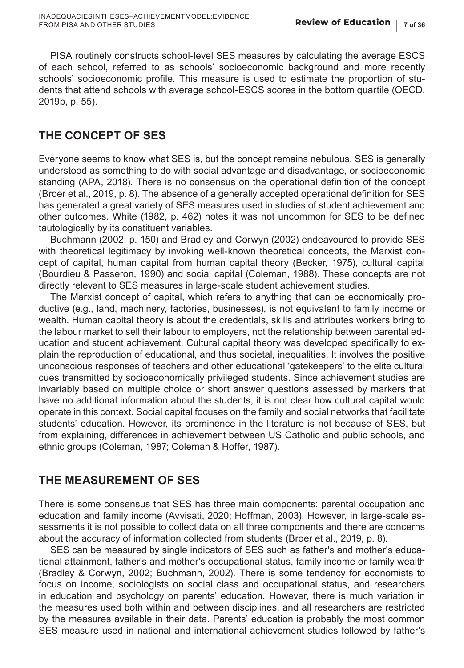PISA routinely constructs school-level SES measures by calculating the average ESCS of each school, referred to as schools' socioeconomic background and more recently schools' socioeconomic profile. This measure is used to estimate the proportion of students that attend schools with average school-ESCS scores in the bottom quartile (OECD, 2019b, p. 55).

# **THE CONCEPT OF SES**

Everyone seems to know what SES is, but the concept remains nebulous. SES is generally understood as something to do with social advantage and disadvantage, or socioeconomic standing (APA, 2018). There is no consensus on the operational definition of the concept (Broer et al., 2019, p. 8). The absence of a generally accepted operational definition for SES has generated a great variety of SES measures used in studies of student achievement and other outcomes. White (1982, p. 462) notes it was not uncommon for SES to be defined tautologically by its constituent variables.

Buchmann (2002, p. 150) and Bradley and Corwyn (2002) endeavoured to provide SES with theoretical legitimacy by invoking well-known theoretical concepts, the Marxist concept of capital, human capital from human capital theory (Becker, 1975), cultural capital (Bourdieu & Passeron, 1990) and social capital (Coleman, 1988). These concepts are not directly relevant to SES measures in large-scale student achievement studies.

The Marxist concept of capital, which refers to anything that can be economically productive (e.g., land, machinery, factories, businesses), is not equivalent to family income or wealth. Human capital theory is about the credentials, skills and attributes workers bring to the labour market to sell their labour to employers, not the relationship between parental education and student achievement. Cultural capital theory was developed specifically to explain the reproduction of educational, and thus societal, inequalities. It involves the positive unconscious responses of teachers and other educational 'gatekeepers' to the elite cultural cues transmitted by socioeconomically privileged students. Since achievement studies are invariably based on multiple choice or short answer questions assessed by markers that have no additional information about the students, it is not clear how cultural capital would operate in this context. Social capital focuses on the family and social networks that facilitate students' education. However, its prominence in the literature is not because of SES, but from explaining, differences in achievement between US Catholic and public schools, and ethnic groups (Coleman, 1987; Coleman & Hoffer, 1987).

# **THE MEASUREMENT OF SES**

There is some consensus that SES has three main components: parental occupation and education and family income (Avvisati, 2020; Hoffman, 2003). However, in large-scale assessments it is not possible to collect data on all three components and there are concerns about the accuracy of information collected from students (Broer et al., 2019, p. 8).

SES can be measured by single indicators of SES such as father's and mother's educational attainment, father's and mother's occupational status, family income or family wealth (Bradley & Corwyn, 2002; Buchmann, 2002). There is some tendency for economists to focus on income, sociologists on social class and occupational status, and researchers in education and psychology on parents' education. However, there is much variation in the measures used both within and between disciplines, and all researchers are restricted by the measures available in their data. Parents' education is probably the most common SES measure used in national and international achievement studies followed by father's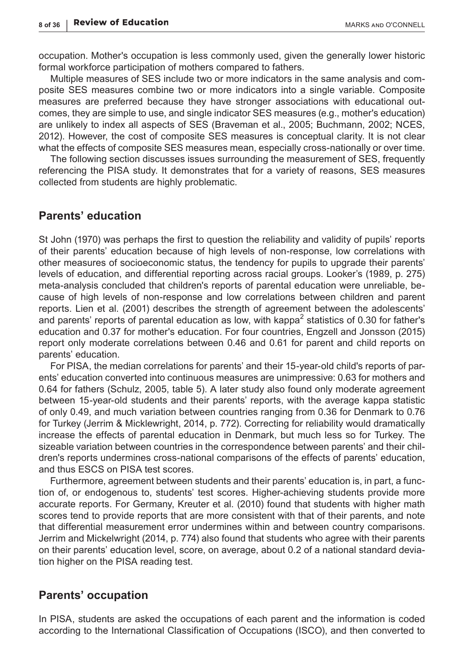occupation. Mother's occupation is less commonly used, given the generally lower historic formal workforce participation of mothers compared to fathers.

Multiple measures of SES include two or more indicators in the same analysis and composite SES measures combine two or more indicators into a single variable. Composite measures are preferred because they have stronger associations with educational outcomes, they are simple to use, and single indicator SES measures (e.g., mother's education) are unlikely to index all aspects of SES (Braveman et al., 2005; Buchmann, 2002; NCES, 2012). However, the cost of composite SES measures is conceptual clarity. It is not clear what the effects of composite SES measures mean, especially cross-nationally or over time.

The following section discusses issues surrounding the measurement of SES, frequently referencing the PISA study. It demonstrates that for a variety of reasons, SES measures collected from students are highly problematic.

#### **Parents' education**

St John (1970) was perhaps the first to question the reliability and validity of pupils' reports of their parents' education because of high levels of non-response, low correlations with other measures of socioeconomic status, the tendency for pupils to upgrade their parents' levels of education, and differential reporting across racial groups. Looker's (1989, p. 275) meta-analysis concluded that children's reports of parental education were unreliable, because of high levels of non-response and low correlations between children and parent reports. Lien et al. (2001) describes the strength of agreement between the adolescents' and parents' reports of parental education as low, with kappa $^2$  statistics of 0.30 for father's education and 0.37 for mother's education. For four countries, Engzell and Jonsson (2015) report only moderate correlations between 0.46 and 0.61 for parent and child reports on parents' education.

For PISA, the median correlations for parents' and their 15-year-old child's reports of parents' education converted into continuous measures are unimpressive: 0.63 for mothers and 0.64 for fathers (Schulz, 2005, table 5). A later study also found only moderate agreement between 15-year-old students and their parents' reports, with the average kappa statistic of only 0.49, and much variation between countries ranging from 0.36 for Denmark to 0.76 for Turkey (Jerrim & Micklewright, 2014, p. 772). Correcting for reliability would dramatically increase the effects of parental education in Denmark, but much less so for Turkey. The sizeable variation between countries in the correspondence between parents' and their children's reports undermines cross-national comparisons of the effects of parents' education, and thus ESCS on PISA test scores.

Furthermore, agreement between students and their parents' education is, in part, a function of, or endogenous to, students' test scores. Higher-achieving students provide more accurate reports. For Germany, Kreuter et al. (2010) found that students with higher math scores tend to provide reports that are more consistent with that of their parents, and note that differential measurement error undermines within and between country comparisons. Jerrim and Mickelwright (2014, p. 774) also found that students who agree with their parents on their parents' education level, score, on average, about 0.2 of a national standard deviation higher on the PISA reading test.

#### **Parents' occupation**

In PISA, students are asked the occupations of each parent and the information is coded according to the International Classification of Occupations (ISCO), and then converted to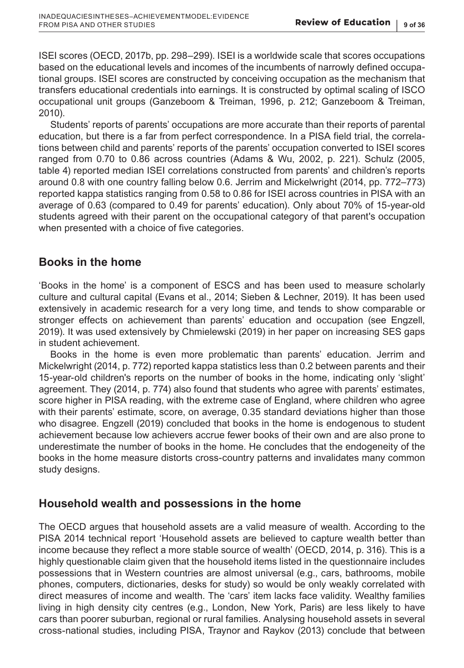ISEI scores (OECD, 2017b, pp. 298–299). ISEI is a worldwide scale that scores occupations based on the educational levels and incomes of the incumbents of narrowly defined occupational groups. ISEI scores are constructed by conceiving occupation as the mechanism that transfers educational credentials into earnings. It is constructed by optimal scaling of ISCO occupational unit groups (Ganzeboom & Treiman, 1996, p. 212; Ganzeboom & Treiman, 2010).

Students' reports of parents' occupations are more accurate than their reports of parental education, but there is a far from perfect correspondence. In a PISA field trial, the correlations between child and parents' reports of the parents' occupation converted to ISEI scores ranged from 0.70 to 0.86 across countries (Adams & Wu, 2002, p. 221). Schulz (2005, table 4) reported median ISEI correlations constructed from parents' and children's reports around 0.8 with one country falling below 0.6. Jerrim and Mickelwright (2014, pp. 772–773) reported kappa statistics ranging from 0.58 to 0.86 for ISEI across countries in PISA with an average of 0.63 (compared to 0.49 for parents' education). Only about 70% of 15-year-old students agreed with their parent on the occupational category of that parent's occupation when presented with a choice of five categories.

# **Books in the home**

'Books in the home' is a component of ESCS and has been used to measure scholarly culture and cultural capital (Evans et al., 2014; Sieben & Lechner, 2019). It has been used extensively in academic research for a very long time, and tends to show comparable or stronger effects on achievement than parents' education and occupation (see Engzell, 2019). It was used extensively by Chmielewski (2019) in her paper on increasing SES gaps in student achievement.

Books in the home is even more problematic than parents' education. Jerrim and Mickelwright (2014, p. 772) reported kappa statistics less than 0.2 between parents and their 15-year-old children's reports on the number of books in the home, indicating only 'slight' agreement. They (2014, p. 774) also found that students who agree with parents' estimates, score higher in PISA reading, with the extreme case of England, where children who agree with their parents' estimate, score, on average, 0.35 standard deviations higher than those who disagree. Engzell (2019) concluded that books in the home is endogenous to student achievement because low achievers accrue fewer books of their own and are also prone to underestimate the number of books in the home. He concludes that the endogeneity of the books in the home measure distorts cross-country patterns and invalidates many common study designs.

# **Household wealth and possessions in the home**

The OECD argues that household assets are a valid measure of wealth. According to the PISA 2014 technical report 'Household assets are believed to capture wealth better than income because they reflect a more stable source of wealth' (OECD, 2014, p. 316). This is a highly questionable claim given that the household items listed in the questionnaire includes possessions that in Western countries are almost universal (e.g., cars, bathrooms, mobile phones, computers, dictionaries, desks for study) so would be only weakly correlated with direct measures of income and wealth. The 'cars' item lacks face validity. Wealthy families living in high density city centres (e.g., London, New York, Paris) are less likely to have cars than poorer suburban, regional or rural families. Analysing household assets in several cross-national studies, including PISA, Traynor and Raykov (2013) conclude that between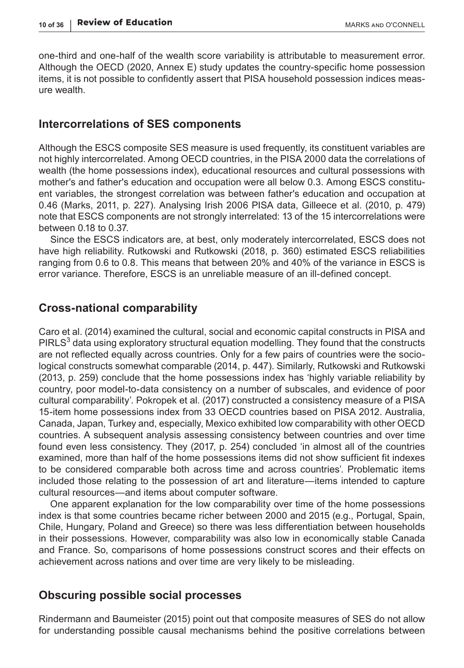one-third and one-half of the wealth score variability is attributable to measurement error. Although the OECD (2020, Annex E) study updates the country-specific home possession items, it is not possible to confidently assert that PISA household possession indices measure wealth.

#### **Intercorrelations of SES components**

Although the ESCS composite SES measure is used frequently, its constituent variables are not highly intercorrelated. Among OECD countries, in the PISA 2000 data the correlations of wealth (the home possessions index), educational resources and cultural possessions with mother's and father's education and occupation were all below 0.3. Among ESCS constituent variables, the strongest correlation was between father's education and occupation at 0.46 (Marks, 2011, p. 227). Analysing Irish 2006 PISA data, Gilleece et al. (2010, p. 479) note that ESCS components are not strongly interrelated: 13 of the 15 intercorrelations were between 0.18 to 0.37.

Since the ESCS indicators are, at best, only moderately intercorrelated, ESCS does not have high reliability. Rutkowski and Rutkowski (2018, p. 360) estimated ESCS reliabilities ranging from 0.6 to 0.8. This means that between 20% and 40% of the variance in ESCS is error variance. Therefore, ESCS is an unreliable measure of an ill-defined concept.

### **Cross-national comparability**

Caro et al. (2014) examined the cultural, social and economic capital constructs in PISA and PIRLS $^3$  data using exploratory structural equation modelling. They found that the constructs are not reflected equally across countries. Only for a few pairs of countries were the sociological constructs somewhat comparable (2014, p. 447). Similarly, Rutkowski and Rutkowski (2013, p. 259) conclude that the home possessions index has 'highly variable reliability by country, poor model-to-data consistency on a number of subscales, and evidence of poor cultural comparability'. Pokropek et al. (2017) constructed a consistency measure of a PISA 15-item home possessions index from 33 OECD countries based on PISA 2012. Australia, Canada, Japan, Turkey and, especially, Mexico exhibited low comparability with other OECD countries. A subsequent analysis assessing consistency between countries and over time found even less consistency. They (2017, p. 254) concluded 'in almost all of the countries examined, more than half of the home possessions items did not show sufficient fit indexes to be considered comparable both across time and across countries'. Problematic items included those relating to the possession of art and literature—items intended to capture cultural resources—and items about computer software.

One apparent explanation for the low comparability over time of the home possessions index is that some countries became richer between 2000 and 2015 (e.g., Portugal, Spain, Chile, Hungary, Poland and Greece) so there was less differentiation between households in their possessions. However, comparability was also low in economically stable Canada and France. So, comparisons of home possessions construct scores and their effects on achievement across nations and over time are very likely to be misleading.

# **Obscuring possible social processes**

Rindermann and Baumeister (2015) point out that composite measures of SES do not allow for understanding possible causal mechanisms behind the positive correlations between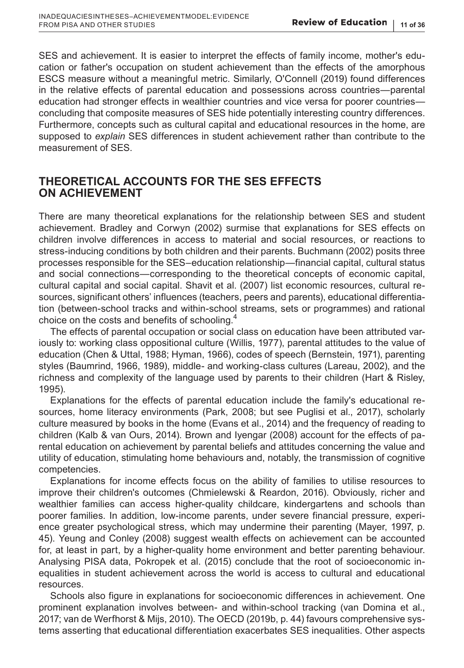SES and achievement. It is easier to interpret the effects of family income, mother's education or father's occupation on student achievement than the effects of the amorphous ESCS measure without a meaningful metric. Similarly, O'Connell (2019) found differences in the relative effects of parental education and possessions across countries—parental education had stronger effects in wealthier countries and vice versa for poorer countries concluding that composite measures of SES hide potentially interesting country differences. Furthermore, concepts such as cultural capital and educational resources in the home, are supposed to *explain* SES differences in student achievement rather than contribute to the measurement of SES.

# **THEORETICAL ACCOUNTS FOR THE SES EFFECTS ON ACHIEVEMENT**

There are many theoretical explanations for the relationship between SES and student achievement. Bradley and Corwyn (2002) surmise that explanations for SES effects on children involve differences in access to material and social resources, or reactions to stress-inducing conditions by both children and their parents. Buchmann (2002) posits three processes responsible for the SES–education relationship—financial capital, cultural status and social connections—corresponding to the theoretical concepts of economic capital, cultural capital and social capital. Shavit et al. (2007) list economic resources, cultural resources, significant others' influences (teachers, peers and parents), educational differentiation (between-school tracks and within-school streams, sets or programmes) and rational choice on the costs and benefits of schooling.<sup>4</sup>

The effects of parental occupation or social class on education have been attributed variously to: working class oppositional culture (Willis, 1977), parental attitudes to the value of education (Chen & Uttal, 1988; Hyman, 1966), codes of speech (Bernstein, 1971), parenting styles (Baumrind, 1966, 1989), middle- and working-class cultures (Lareau, 2002), and the richness and complexity of the language used by parents to their children (Hart & Risley, 1995).

Explanations for the effects of parental education include the family's educational resources, home literacy environments (Park, 2008; but see Puglisi et al., 2017), scholarly culture measured by books in the home (Evans et al., 2014) and the frequency of reading to children (Kalb & van Ours, 2014). Brown and Iyengar (2008) account for the effects of parental education on achievement by parental beliefs and attitudes concerning the value and utility of education, stimulating home behaviours and, notably, the transmission of cognitive competencies.

Explanations for income effects focus on the ability of families to utilise resources to improve their children's outcomes (Chmielewski & Reardon, 2016). Obviously, richer and wealthier families can access higher-quality childcare, kindergartens and schools than poorer families. In addition, low-income parents, under severe financial pressure, experience greater psychological stress, which may undermine their parenting (Mayer, 1997, p. 45). Yeung and Conley (2008) suggest wealth effects on achievement can be accounted for, at least in part, by a higher-quality home environment and better parenting behaviour. Analysing PISA data, Pokropek et al. (2015) conclude that the root of socioeconomic inequalities in student achievement across the world is access to cultural and educational resources.

Schools also figure in explanations for socioeconomic differences in achievement. One prominent explanation involves between- and within-school tracking (van Domina et al., 2017; van de Werfhorst & Mijs, 2010). The OECD (2019b, p. 44) favours comprehensive systems asserting that educational differentiation exacerbates SES inequalities. Other aspects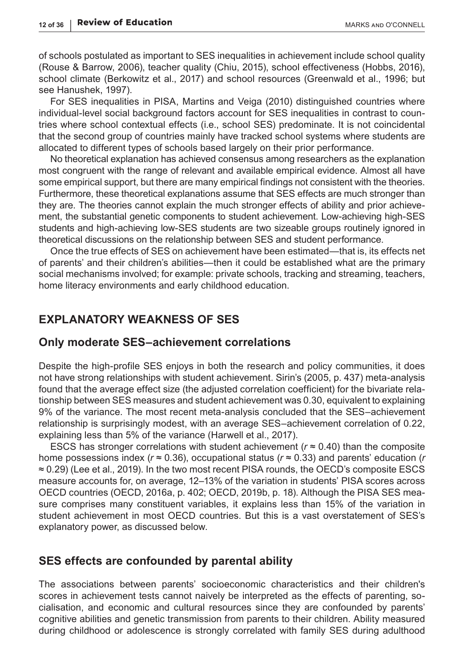of schools postulated as important to SES inequalities in achievement include school quality (Rouse & Barrow, 2006), teacher quality (Chiu, 2015), school effectiveness (Hobbs, 2016), school climate (Berkowitz et al., 2017) and school resources (Greenwald et al., 1996; but see Hanushek, 1997).

For SES inequalities in PISA, Martins and Veiga (2010) distinguished countries where individual-level social background factors account for SES inequalities in contrast to countries where school contextual effects (i.e., school SES) predominate. It is not coincidental that the second group of countries mainly have tracked school systems where students are allocated to different types of schools based largely on their prior performance.

No theoretical explanation has achieved consensus among researchers as the explanation most congruent with the range of relevant and available empirical evidence. Almost all have some empirical support, but there are many empirical findings not consistent with the theories. Furthermore, these theoretical explanations assume that SES effects are much stronger than they are. The theories cannot explain the much stronger effects of ability and prior achievement, the substantial genetic components to student achievement. Low-achieving high-SES students and high-achieving low-SES students are two sizeable groups routinely ignored in theoretical discussions on the relationship between SES and student performance.

Once the true effects of SES on achievement have been estimated—that is, its effects net of parents' and their children's abilities—then it could be established what are the primary social mechanisms involved; for example: private schools, tracking and streaming, teachers, home literacy environments and early childhood education.

# **EXPLANATORY WEAKNESS OF SES**

#### **Only moderate SES–achievement correlations**

Despite the high-profile SES enjoys in both the research and policy communities, it does not have strong relationships with student achievement. Sirin's (2005, p. 437) meta-analysis found that the average effect size (the adjusted correlation coefficient) for the bivariate relationship between SES measures and student achievement was 0.30, equivalent to explaining 9% of the variance. The most recent meta-analysis concluded that the SES–achievement relationship is surprisingly modest, with an average SES–achievement correlation of 0.22, explaining less than 5% of the variance (Harwell et al., 2017).

ESCS has stronger correlations with student achievement ( $r \approx 0.40$ ) than the composite home possessions index (*r* ≈ 0.36), occupational status (*r* ≈ 0.33) and parents' education (*r* ≈ 0.29) (Lee et al., 2019). In the two most recent PISA rounds, the OECD's composite ESCS measure accounts for, on average, 12–13% of the variation in students' PISA scores across OECD countries (OECD, 2016a, p. 402; OECD, 2019b, p. 18). Although the PISA SES measure comprises many constituent variables, it explains less than 15% of the variation in student achievement in most OECD countries. But this is a vast overstatement of SES's explanatory power, as discussed below.

#### **SES effects are confounded by parental ability**

The associations between parents' socioeconomic characteristics and their children's scores in achievement tests cannot naively be interpreted as the effects of parenting, socialisation, and economic and cultural resources since they are confounded by parents' cognitive abilities and genetic transmission from parents to their children. Ability measured during childhood or adolescence is strongly correlated with family SES during adulthood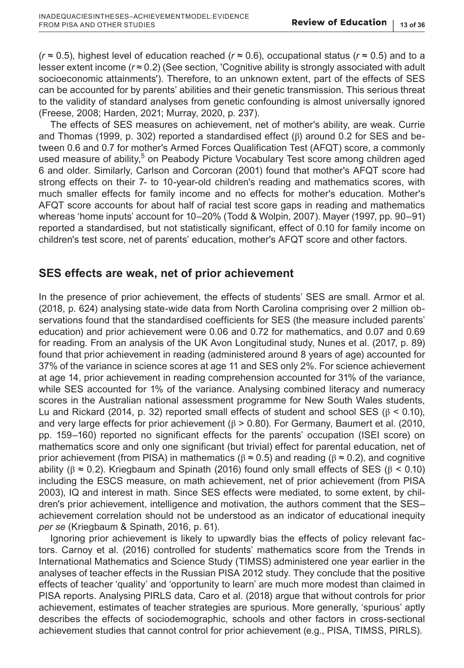(*r* ≈ 0.5), highest level of education reached (*r* ≈ 0.6), occupational status (*r* ≈ 0.5) and to a lesser extent income  $(r \approx 0.2)$  (See section, 'Cognitive ability is strongly associated with adult socioeconomic attainments'). Therefore, to an unknown extent, part of the effects of SES can be accounted for by parents' abilities and their genetic transmission. This serious threat to the validity of standard analyses from genetic confounding is almost universally ignored (Freese, 2008; Harden, 2021; Murray, 2020, p. 237).

The effects of SES measures on achievement, net of mother's ability, are weak. Currie and Thomas (1999, p. 302) reported a standardised effect  $(β)$  around 0.2 for SES and between 0.6 and 0.7 for mother's Armed Forces Qualification Test (AFQT) score, a commonly used measure of ability,<sup>5</sup> on Peabody Picture Vocabulary Test score among children aged 6 and older. Similarly, Carlson and Corcoran (2001) found that mother's AFQT score had strong effects on their 7- to 10-year-old children's reading and mathematics scores, with much smaller effects for family income and no effects for mother's education. Mother's AFQT score accounts for about half of racial test score gaps in reading and mathematics whereas 'home inputs' account for 10–20% (Todd & Wolpin, 2007). Mayer (1997, pp. 90–91) reported a standardised, but not statistically significant, effect of 0.10 for family income on children's test score, net of parents' education, mother's AFQT score and other factors.

# **SES effects are weak, net of prior achievement**

In the presence of prior achievement, the effects of students' SES are small. Armor et al. (2018, p. 624) analysing state-wide data from North Carolina comprising over 2 million observations found that the standardised coefficients for SES (the measure included parents' education) and prior achievement were 0.06 and 0.72 for mathematics, and 0.07 and 0.69 for reading. From an analysis of the UK Avon Longitudinal study, Nunes et al. (2017, p. 89) found that prior achievement in reading (administered around 8 years of age) accounted for 37% of the variance in science scores at age 11 and SES only 2%. For science achievement at age 14, prior achievement in reading comprehension accounted for 31% of the variance, while SES accounted for 1% of the variance. Analysing combined literacy and numeracy scores in the Australian national assessment programme for New South Wales students, Lu and Rickard (2014, p. 32) reported small effects of student and school SES ( $\beta$  < 0.10), and very large effects for prior achievement ( $\beta > 0.80$ ). For Germany, Baumert et al. (2010, pp. 159–160) reported no significant effects for the parents' occupation (ISEI score) on mathematics score and only one significant (but trivial) effect for parental education, net of prior achievement (from PISA) in mathematics ( $β ≈ 0.5$ ) and reading ( $β ≈ 0.2$ ), and cognitive ability ( $β ≈ 0.2$ ). Kriegbaum and Spinath (2016) found only small effects of SES ( $β < 0.10$ ) including the ESCS measure, on math achievement, net of prior achievement (from PISA 2003), IQ and interest in math. Since SES effects were mediated, to some extent, by children's prior achievement, intelligence and motivation, the authors comment that the SES– achievement correlation should not be understood as an indicator of educational inequity *per se* (Kriegbaum & Spinath, 2016, p. 61).

Ignoring prior achievement is likely to upwardly bias the effects of policy relevant factors. Carnoy et al. (2016) controlled for students' mathematics score from the Trends in International Mathematics and Science Study (TIMSS) administered one year earlier in the analyses of teacher effects in the Russian PISA 2012 study. They conclude that the positive effects of teacher 'quality' and 'opportunity to learn' are much more modest than claimed in PISA reports. Analysing PIRLS data, Caro et al. (2018) argue that without controls for prior achievement, estimates of teacher strategies are spurious. More generally, 'spurious' aptly describes the effects of sociodemographic, schools and other factors in cross-sectional achievement studies that cannot control for prior achievement (e.g., PISA, TIMSS, PIRLS).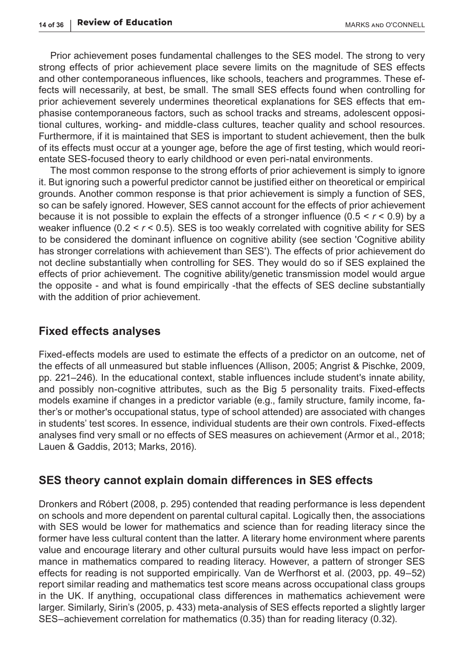Prior achievement poses fundamental challenges to the SES model. The strong to very strong effects of prior achievement place severe limits on the magnitude of SES effects and other contemporaneous influences, like schools, teachers and programmes. These effects will necessarily, at best, be small. The small SES effects found when controlling for prior achievement severely undermines theoretical explanations for SES effects that emphasise contemporaneous factors, such as school tracks and streams, adolescent oppositional cultures, working- and middle-class cultures, teacher quality and school resources. Furthermore, if it is maintained that SES is important to student achievement, then the bulk of its effects must occur at a younger age, before the age of first testing, which would reorientate SES-focused theory to early childhood or even peri-natal environments.

The most common response to the strong efforts of prior achievement is simply to ignore it. But ignoring such a powerful predictor cannot be justified either on theoretical or empirical grounds. Another common response is that prior achievement is simply a function of SES, so can be safely ignored. However, SES cannot account for the effects of prior achievement because it is not possible to explain the effects of a stronger influence (0.5 < *r* < 0.9) by a weaker influence (0.2 < *r* < 0.5). SES is too weakly correlated with cognitive ability for SES to be considered the dominant influence on cognitive ability (see section 'Cognitive ability has stronger correlations with achievement than SES'). The effects of prior achievement do not decline substantially when controlling for SES. They would do so if SES explained the effects of prior achievement. The cognitive ability/genetic transmission model would argue the opposite - and what is found empirically -that the effects of SES decline substantially with the addition of prior achievement.

### **Fixed effects analyses**

Fixed-effects models are used to estimate the effects of a predictor on an outcome, net of the effects of all unmeasured but stable influences (Allison, 2005; Angrist & Pischke, 2009, pp. 221–246). In the educational context, stable influences include student's innate ability, and possibly non-cognitive attributes, such as the Big 5 personality traits. Fixed-effects models examine if changes in a predictor variable (e.g., family structure, family income, father's or mother's occupational status, type of school attended) are associated with changes in students' test scores. In essence, individual students are their own controls. Fixed-effects analyses find very small or no effects of SES measures on achievement (Armor et al., 2018; Lauen & Gaddis, 2013; Marks, 2016).

#### **SES theory cannot explain domain differences in SES effects**

Dronkers and Róbert (2008, p. 295) contended that reading performance is less dependent on schools and more dependent on parental cultural capital. Logically then, the associations with SES would be lower for mathematics and science than for reading literacy since the former have less cultural content than the latter. A literary home environment where parents value and encourage literary and other cultural pursuits would have less impact on performance in mathematics compared to reading literacy. However, a pattern of stronger SES effects for reading is not supported empirically. Van de Werfhorst et al. (2003, pp. 49–52) report similar reading and mathematics test score means across occupational class groups in the UK. If anything, occupational class differences in mathematics achievement were larger. Similarly, Sirin's (2005, p. 433) meta-analysis of SES effects reported a slightly larger SES–achievement correlation for mathematics (0.35) than for reading literacy (0.32).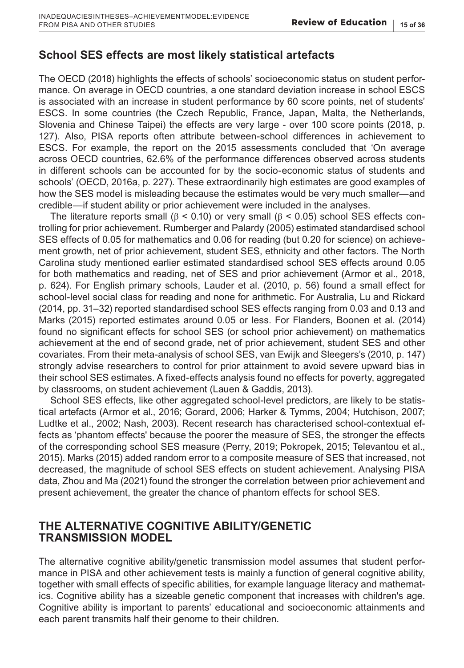# **School SES effects are most likely statistical artefacts**

The OECD (2018) highlights the effects of schools' socioeconomic status on student performance. On average in OECD countries, a one standard deviation increase in school ESCS is associated with an increase in student performance by 60 score points, net of students' ESCS. In some countries (the Czech Republic, France, Japan, Malta, the Netherlands, Slovenia and Chinese Taipei) the effects are very large - over 100 score points (2018, p. 127). Also, PISA reports often attribute between-school differences in achievement to ESCS. For example, the report on the 2015 assessments concluded that 'On average across OECD countries, 62.6% of the performance differences observed across students in different schools can be accounted for by the socio-economic status of students and schools' (OECD, 2016a, p. 227). These extraordinarily high estimates are good examples of how the SES model is misleading because the estimates would be very much smaller—and credible—if student ability or prior achievement were included in the analyses.

The literature reports small ( $β$  < 0.10) or very small ( $β$  < 0.05) school SES effects controlling for prior achievement. Rumberger and Palardy (2005) estimated standardised school SES effects of 0.05 for mathematics and 0.06 for reading (but 0.20 for science) on achievement growth, net of prior achievement, student SES, ethnicity and other factors. The North Carolina study mentioned earlier estimated standardised school SES effects around 0.05 for both mathematics and reading, net of SES and prior achievement (Armor et al., 2018, p. 624). For English primary schools, Lauder et al. (2010, p. 56) found a small effect for school-level social class for reading and none for arithmetic. For Australia, Lu and Rickard (2014, pp. 31–32) reported standardised school SES effects ranging from 0.03 and 0.13 and Marks (2015) reported estimates around 0.05 or less. For Flanders, Boonen et al. (2014) found no significant effects for school SES (or school prior achievement) on mathematics achievement at the end of second grade, net of prior achievement, student SES and other covariates. From their meta-analysis of school SES, van Ewijk and Sleegers's (2010, p. 147) strongly advise researchers to control for prior attainment to avoid severe upward bias in their school SES estimates. A fixed-effects analysis found no effects for poverty, aggregated by classrooms, on student achievement (Lauen & Gaddis, 2013).

School SES effects, like other aggregated school-level predictors, are likely to be statistical artefacts (Armor et al., 2016; Gorard, 2006; Harker & Tymms, 2004; Hutchison, 2007; Ludtke et al., 2002; Nash, 2003). Recent research has characterised school-contextual effects as 'phantom effects' because the poorer the measure of SES, the stronger the effects of the corresponding school SES measure (Perry, 2019; Pokropek, 2015; Televantou et al., 2015). Marks (2015) added random error to a composite measure of SES that increased, not decreased, the magnitude of school SES effects on student achievement. Analysing PISA data, Zhou and Ma (2021) found the stronger the correlation between prior achievement and present achievement, the greater the chance of phantom effects for school SES.

### **THE ALTERNATIVE COGNITIVE ABILITY/GENETIC TRANSMISSION MODEL**

The alternative cognitive ability/genetic transmission model assumes that student performance in PISA and other achievement tests is mainly a function of general cognitive ability, together with small effects of specific abilities, for example language literacy and mathematics. Cognitive ability has a sizeable genetic component that increases with children's age. Cognitive ability is important to parents' educational and socioeconomic attainments and each parent transmits half their genome to their children.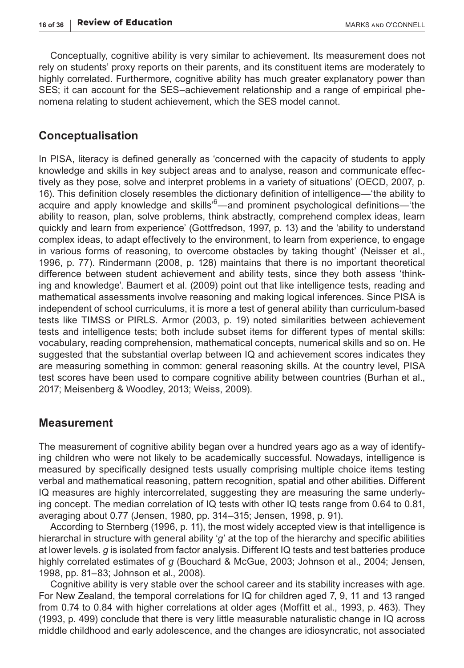Conceptually, cognitive ability is very similar to achievement. Its measurement does not rely on students' proxy reports on their parents, and its constituent items are moderately to highly correlated. Furthermore, cognitive ability has much greater explanatory power than SES; it can account for the SES–achievement relationship and a range of empirical phenomena relating to student achievement, which the SES model cannot.

### **Conceptualisation**

In PISA, literacy is defined generally as 'concerned with the capacity of students to apply knowledge and skills in key subject areas and to analyse, reason and communicate effectively as they pose, solve and interpret problems in a variety of situations' (OECD, 2007, p. 16). This definition closely resembles the dictionary definition of intelligence—'the ability to acquire and apply knowledge and skills'<sup>6</sup>—and prominent psychological definitions—'the ability to reason, plan, solve problems, think abstractly, comprehend complex ideas, learn quickly and learn from experience' (Gottfredson, 1997, p. 13) and the 'ability to understand complex ideas, to adapt effectively to the environment, to learn from experience, to engage in various forms of reasoning, to overcome obstacles by taking thought' (Neisser et al., 1996, p. 77). Rindermann (2008, p. 128) maintains that there is no important theoretical difference between student achievement and ability tests, since they both assess 'thinking and knowledge'. Baumert et al. (2009) point out that like intelligence tests, reading and mathematical assessments involve reasoning and making logical inferences. Since PISA is independent of school curriculums, it is more a test of general ability than curriculum-based tests like TIMSS or PIRLS. Armor (2003, p. 19) noted similarities between achievement tests and intelligence tests; both include subset items for different types of mental skills: vocabulary, reading comprehension, mathematical concepts, numerical skills and so on. He suggested that the substantial overlap between IQ and achievement scores indicates they are measuring something in common: general reasoning skills. At the country level, PISA test scores have been used to compare cognitive ability between countries (Burhan et al., 2017; Meisenberg & Woodley, 2013; Weiss, 2009).

#### **Measurement**

The measurement of cognitive ability began over a hundred years ago as a way of identifying children who were not likely to be academically successful. Nowadays, intelligence is measured by specifically designed tests usually comprising multiple choice items testing verbal and mathematical reasoning, pattern recognition, spatial and other abilities. Different IQ measures are highly intercorrelated, suggesting they are measuring the same underlying concept. The median correlation of IQ tests with other IQ tests range from 0.64 to 0.81, averaging about 0.77 (Jensen, 1980, pp. 314–315; Jensen, 1998, p. 91).

According to Sternberg (1996, p. 11), the most widely accepted view is that intelligence is hierarchal in structure with general ability '*g*' at the top of the hierarchy and specific abilities at lower levels. *g* is isolated from factor analysis. Different IQ tests and test batteries produce highly correlated estimates of *g* (Bouchard & McGue, 2003; Johnson et al., 2004; Jensen, 1998, pp. 81–83; Johnson et al., 2008).

Cognitive ability is very stable over the school career and its stability increases with age. For New Zealand, the temporal correlations for IQ for children aged 7, 9, 11 and 13 ranged from 0.74 to 0.84 with higher correlations at older ages (Moffitt et al., 1993, p. 463). They (1993, p. 499) conclude that there is very little measurable naturalistic change in IQ across middle childhood and early adolescence, and the changes are idiosyncratic, not associated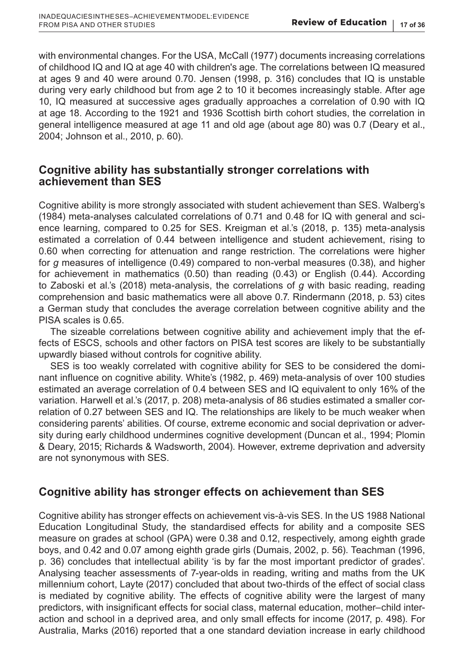with environmental changes. For the USA, McCall (1977) documents increasing correlations of childhood IQ and IQ at age 40 with children's age. The correlations between IQ measured at ages 9 and 40 were around 0.70. Jensen (1998, p. 316) concludes that IQ is unstable during very early childhood but from age 2 to 10 it becomes increasingly stable. After age 10, IQ measured at successive ages gradually approaches a correlation of 0.90 with IQ at age 18. According to the 1921 and 1936 Scottish birth cohort studies, the correlation in general intelligence measured at age 11 and old age (about age 80) was 0.7 (Deary et al., 2004; Johnson et al., 2010, p. 60).

# **Cognitive ability has substantially stronger correlations with achievement than SES**

Cognitive ability is more strongly associated with student achievement than SES. Walberg's (1984) meta-analyses calculated correlations of 0.71 and 0.48 for IQ with general and science learning, compared to 0.25 for SES. Kreigman et al.'s (2018, p. 135) meta-analysis estimated a correlation of 0.44 between intelligence and student achievement, rising to 0.60 when correcting for attenuation and range restriction. The correlations were higher for *g* measures of intelligence (0.49) compared to non-verbal measures (0.38), and higher for achievement in mathematics (0.50) than reading (0.43) or English (0.44). According to Zaboski et al.'s (2018) meta-analysis, the correlations of *g* with basic reading, reading comprehension and basic mathematics were all above 0.7. Rindermann (2018, p. 53) cites a German study that concludes the average correlation between cognitive ability and the PISA scales is 0.65.

The sizeable correlations between cognitive ability and achievement imply that the effects of ESCS, schools and other factors on PISA test scores are likely to be substantially upwardly biased without controls for cognitive ability.

SES is too weakly correlated with cognitive ability for SES to be considered the dominant influence on cognitive ability. White's (1982, p. 469) meta-analysis of over 100 studies estimated an average correlation of 0.4 between SES and IQ equivalent to only 16% of the variation. Harwell et al.'s (2017, p. 208) meta-analysis of 86 studies estimated a smaller correlation of 0.27 between SES and IQ. The relationships are likely to be much weaker when considering parents' abilities. Of course, extreme economic and social deprivation or adversity during early childhood undermines cognitive development (Duncan et al., 1994; Plomin & Deary, 2015; Richards & Wadsworth, 2004). However, extreme deprivation and adversity are not synonymous with SES.

# **Cognitive ability has stronger effects on achievement than SES**

Cognitive ability has stronger effects on achievement vis-à-vis SES. In the US 1988 National Education Longitudinal Study, the standardised effects for ability and a composite SES measure on grades at school (GPA) were 0.38 and 0.12, respectively, among eighth grade boys, and 0.42 and 0.07 among eighth grade girls (Dumais, 2002, p. 56). Teachman (1996, p. 36) concludes that intellectual ability 'is by far the most important predictor of grades'. Analysing teacher assessments of 7-year-olds in reading, writing and maths from the UK millennium cohort, Layte (2017) concluded that about two-thirds of the effect of social class is mediated by cognitive ability. The effects of cognitive ability were the largest of many predictors, with insignificant effects for social class, maternal education, mother–child interaction and school in a deprived area, and only small effects for income (2017, p. 498). For Australia, Marks (2016) reported that a one standard deviation increase in early childhood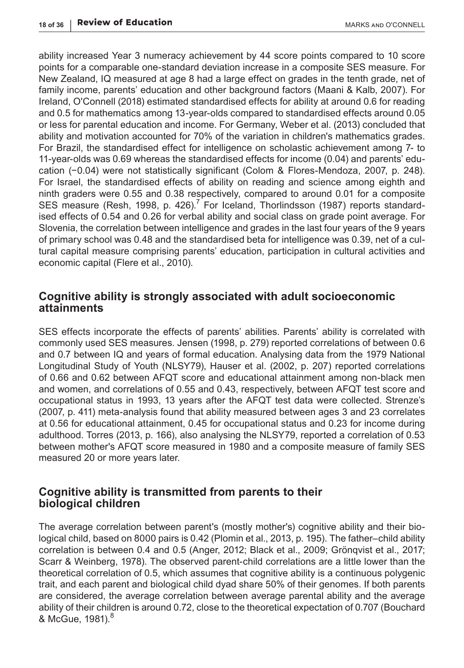ability increased Year 3 numeracy achievement by 44 score points compared to 10 score points for a comparable one-standard deviation increase in a composite SES measure. For New Zealand, IQ measured at age 8 had a large effect on grades in the tenth grade, net of family income, parents' education and other background factors (Maani & Kalb, 2007). For Ireland, O'Connell (2018) estimated standardised effects for ability at around 0.6 for reading and 0.5 for mathematics among 13-year-olds compared to standardised effects around 0.05 or less for parental education and income. For Germany, Weber et al. (2013) concluded that ability and motivation accounted for 70% of the variation in children's mathematics grades. For Brazil, the standardised effect for intelligence on scholastic achievement among 7- to 11-year-olds was 0.69 whereas the standardised effects for income (0.04) and parents' education (−0.04) were not statistically significant (Colom & Flores-Mendoza, 2007, p. 248). For Israel, the standardised effects of ability on reading and science among eighth and ninth graders were 0.55 and 0.38 respectively, compared to around 0.01 for a composite SES measure (Resh, 1998, p. 426). $^7$  For Iceland, Thorlindsson (1987) reports standardised effects of 0.54 and 0.26 for verbal ability and social class on grade point average. For Slovenia, the correlation between intelligence and grades in the last four years of the 9 years of primary school was 0.48 and the standardised beta for intelligence was 0.39, net of a cultural capital measure comprising parents' education, participation in cultural activities and economic capital (Flere et al., 2010).

# **Cognitive ability is strongly associated with adult socioeconomic attainments**

SES effects incorporate the effects of parents' abilities. Parents' ability is correlated with commonly used SES measures. Jensen (1998, p. 279) reported correlations of between 0.6 and 0.7 between IQ and years of formal education. Analysing data from the 1979 National Longitudinal Study of Youth (NLSY79), Hauser et al. (2002, p. 207) reported correlations of 0.66 and 0.62 between AFQT score and educational attainment among non-black men and women, and correlations of 0.55 and 0.43, respectively, between AFQT test score and occupational status in 1993, 13 years after the AFQT test data were collected. Strenze's (2007, p. 411) meta-analysis found that ability measured between ages 3 and 23 correlates at 0.56 for educational attainment, 0.45 for occupational status and 0.23 for income during adulthood. Torres (2013, p. 166), also analysing the NLSY79, reported a correlation of 0.53 between mother's AFQT score measured in 1980 and a composite measure of family SES measured 20 or more years later.

# **Cognitive ability is transmitted from parents to their biological children**

The average correlation between parent's (mostly mother's) cognitive ability and their biological child, based on 8000 pairs is 0.42 (Plomin et al., 2013, p. 195). The father–child ability correlation is between 0.4 and 0.5 (Anger, 2012; Black et al., 2009; Grönqvist et al., 2017; Scarr & Weinberg, 1978). The observed parent-child correlations are a little lower than the theoretical correlation of 0.5, which assumes that cognitive ability is a continuous polygenic trait, and each parent and biological child dyad share 50% of their genomes. If both parents are considered, the average correlation between average parental ability and the average ability of their children is around 0.72, close to the theoretical expectation of 0.707 (Bouchard & McGue, 1981).<sup>8</sup>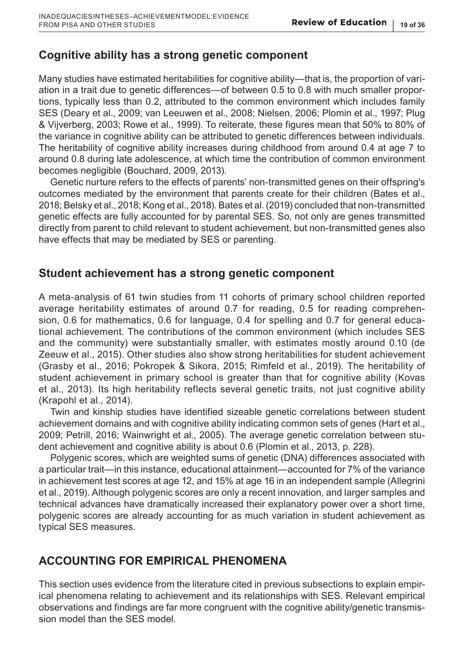# **Cognitive ability has a strong genetic component**

Many studies have estimated heritabilities for cognitive ability—that is, the proportion of variation in a trait due to genetic differences—of between 0.5 to 0.8 with much smaller proportions, typically less than 0.2, attributed to the common environment which includes family SES (Deary et al., 2009; van Leeuwen et al., 2008; Nielsen, 2006; Plomin et al., 1997; Plug & Vijverberg, 2003; Rowe et al., 1999). To reiterate, these figures mean that 50% to 80% of the variance in cognitive ability can be attributed to genetic differences between individuals. The heritability of cognitive ability increases during childhood from around 0.4 at age 7 to around 0.8 during late adolescence, at which time the contribution of common environment becomes negligible (Bouchard, 2009, 2013).

Genetic nurture refers to the effects of parents' non-transmitted genes on their offspring's outcomes mediated by the environment that parents create for their children (Bates et al., 2018; Belsky et al., 2018; Kong et al., 2018). Bates et al. (2019) concluded that non-transmitted genetic effects are fully accounted for by parental SES. So, not only are genes transmitted directly from parent to child relevant to student achievement, but non-transmitted genes also have effects that may be mediated by SES or parenting.

# **Student achievement has a strong genetic component**

A meta-analysis of 61 twin studies from 11 cohorts of primary school children reported average heritability estimates of around 0.7 for reading, 0.5 for reading comprehension, 0.6 for mathematics, 0.6 for language, 0.4 for spelling and 0.7 for general educational achievement. The contributions of the common environment (which includes SES and the community) were substantially smaller, with estimates mostly around 0.10 (de Zeeuw et al., 2015). Other studies also show strong heritabilities for student achievement (Grasby et al., 2016; Pokropek & Sikora, 2015; Rimfeld et al., 2019). The heritability of student achievement in primary school is greater than that for cognitive ability (Kovas et al., 2013). Its high heritability reflects several genetic traits, not just cognitive ability (Krapohl et al., 2014).

Twin and kinship studies have identified sizeable genetic correlations between student achievement domains and with cognitive ability indicating common sets of genes (Hart et al., 2009; Petrill, 2016; Wainwright et al., 2005). The average genetic correlation between student achievement and cognitive ability is about 0.6 (Plomin et al., 2013, p. 228).

Polygenic scores, which are weighted sums of genetic (DNA) differences associated with a particular trait—in this instance, educational attainment—accounted for 7% of the variance in achievement test scores at age 12, and 15% at age 16 in an independent sample (Allegrini et al., 2019). Although polygenic scores are only a recent innovation, and larger samples and technical advances have dramatically increased their explanatory power over a short time, polygenic scores are already accounting for as much variation in student achievement as typical SES measures.

# **ACCOUNTING FOR EMPIRICAL PHENOMENA**

This section uses evidence from the literature cited in previous subsections to explain empirical phenomena relating to achievement and its relationships with SES. Relevant empirical observations and findings are far more congruent with the cognitive ability/genetic transmission model than the SES model.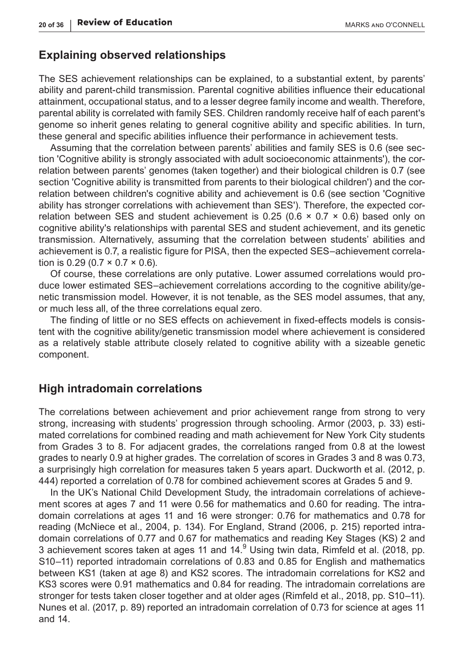#### **Explaining observed relationships**

The SES achievement relationships can be explained, to a substantial extent, by parents' ability and parent-child transmission. Parental cognitive abilities influence their educational attainment, occupational status, and to a lesser degree family income and wealth. Therefore, parental ability is correlated with family SES. Children randomly receive half of each parent's genome so inherit genes relating to general cognitive ability and specific abilities. In turn, these general and specific abilities influence their performance in achievement tests.

Assuming that the correlation between parents' abilities and family SES is 0.6 (see section 'Cognitive ability is strongly associated with adult socioeconomic attainments'), the correlation between parents' genomes (taken together) and their biological children is 0.7 (see section 'Cognitive ability is transmitted from parents to their biological children') and the correlation between children's cognitive ability and achievement is 0.6 (see section 'Cognitive ability has stronger correlations with achievement than SES'). Therefore, the expected correlation between SES and student achievement is  $0.25$  (0.6  $\times$  0.7  $\times$  0.6) based only on cognitive ability's relationships with parental SES and student achievement, and its genetic transmission. Alternatively, assuming that the correlation between students' abilities and achievement is 0.7, a realistic figure for PISA, then the expected SES–achievement correlation is 0.29 (0.7  $\times$  0.7  $\times$  0.6).

Of course, these correlations are only putative. Lower assumed correlations would produce lower estimated SES–achievement correlations according to the cognitive ability/genetic transmission model. However, it is not tenable, as the SES model assumes, that any, or much less all, of the three correlations equal zero.

The finding of little or no SES effects on achievement in fixed-effects models is consistent with the cognitive ability/genetic transmission model where achievement is considered as a relatively stable attribute closely related to cognitive ability with a sizeable genetic component.

# **High intradomain correlations**

The correlations between achievement and prior achievement range from strong to very strong, increasing with students' progression through schooling. Armor (2003, p. 33) estimated correlations for combined reading and math achievement for New York City students from Grades 3 to 8. For adjacent grades, the correlations ranged from 0.8 at the lowest grades to nearly 0.9 at higher grades. The correlation of scores in Grades 3 and 8 was 0.73, a surprisingly high correlation for measures taken 5 years apart. Duckworth et al. (2012, p. 444) reported a correlation of 0.78 for combined achievement scores at Grades 5 and 9.

In the UK's National Child Development Study, the intradomain correlations of achievement scores at ages 7 and 11 were 0.56 for mathematics and 0.60 for reading. The intradomain correlations at ages 11 and 16 were stronger: 0.76 for mathematics and 0.78 for reading (McNiece et al., 2004, p. 134). For England, Strand (2006, p. 215) reported intradomain correlations of 0.77 and 0.67 for mathematics and reading Key Stages (KS) 2 and 3 achievement scores taken at ages 11 and 14. $^9$  Using twin data, Rimfeld et al. (2018, pp. S10–11) reported intradomain correlations of 0.83 and 0.85 for English and mathematics between KS1 (taken at age 8) and KS2 scores. The intradomain correlations for KS2 and KS3 scores were 0.91 mathematics and 0.84 for reading. The intradomain correlations are stronger for tests taken closer together and at older ages (Rimfeld et al., 2018, pp. S10–11). Nunes et al. (2017, p. 89) reported an intradomain correlation of 0.73 for science at ages 11 and 14.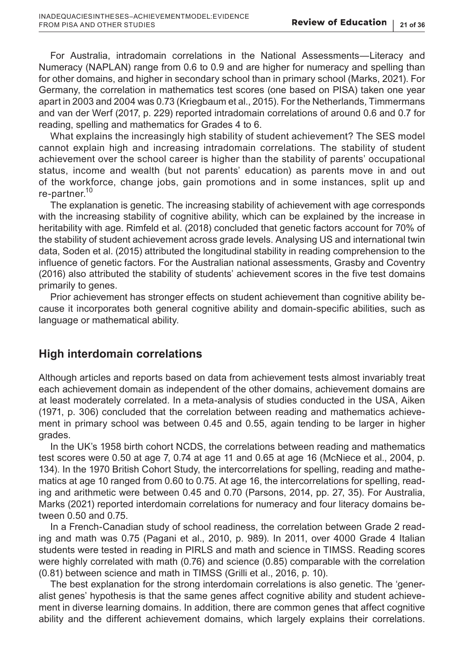For Australia, intradomain correlations in the National Assessments—Literacy and Numeracy (NAPLAN) range from 0.6 to 0.9 and are higher for numeracy and spelling than for other domains, and higher in secondary school than in primary school (Marks, 2021). For Germany, the correlation in mathematics test scores (one based on PISA) taken one year apart in 2003 and 2004 was 0.73 (Kriegbaum et al., 2015). For the Netherlands, Timmermans and van der Werf (2017, p. 229) reported intradomain correlations of around 0.6 and 0.7 for reading, spelling and mathematics for Grades 4 to 6.

What explains the increasingly high stability of student achievement? The SES model cannot explain high and increasing intradomain correlations. The stability of student achievement over the school career is higher than the stability of parents' occupational status, income and wealth (but not parents' education) as parents move in and out of the workforce, change jobs, gain promotions and in some instances, split up and re-partner.<sup>10</sup>

The explanation is genetic. The increasing stability of achievement with age corresponds with the increasing stability of cognitive ability, which can be explained by the increase in heritability with age. Rimfeld et al. (2018) concluded that genetic factors account for 70% of the stability of student achievement across grade levels. Analysing US and international twin data, Soden et al. (2015) attributed the longitudinal stability in reading comprehension to the influence of genetic factors. For the Australian national assessments, Grasby and Coventry (2016) also attributed the stability of students' achievement scores in the five test domains primarily to genes.

Prior achievement has stronger effects on student achievement than cognitive ability because it incorporates both general cognitive ability and domain-specific abilities, such as language or mathematical ability.

# **High interdomain correlations**

Although articles and reports based on data from achievement tests almost invariably treat each achievement domain as independent of the other domains, achievement domains are at least moderately correlated. In a meta-analysis of studies conducted in the USA, Aiken (1971, p. 306) concluded that the correlation between reading and mathematics achievement in primary school was between 0.45 and 0.55, again tending to be larger in higher grades.

In the UK's 1958 birth cohort NCDS, the correlations between reading and mathematics test scores were 0.50 at age 7, 0.74 at age 11 and 0.65 at age 16 (McNiece et al., 2004, p. 134). In the 1970 British Cohort Study, the intercorrelations for spelling, reading and mathematics at age 10 ranged from 0.60 to 0.75. At age 16, the intercorrelations for spelling, reading and arithmetic were between 0.45 and 0.70 (Parsons, 2014, pp. 27, 35). For Australia, Marks (2021) reported interdomain correlations for numeracy and four literacy domains between 0.50 and 0.75.

In a French-Canadian study of school readiness, the correlation between Grade 2 reading and math was 0.75 (Pagani et al., 2010, p. 989). In 2011, over 4000 Grade 4 Italian students were tested in reading in PIRLS and math and science in TIMSS. Reading scores were highly correlated with math (0.76) and science (0.85) comparable with the correlation (0.81) between science and math in TIMSS (Grilli et al., 2016, p. 10).

The best explanation for the strong interdomain correlations is also genetic. The 'generalist genes' hypothesis is that the same genes affect cognitive ability and student achievement in diverse learning domains. In addition, there are common genes that affect cognitive ability and the different achievement domains, which largely explains their correlations.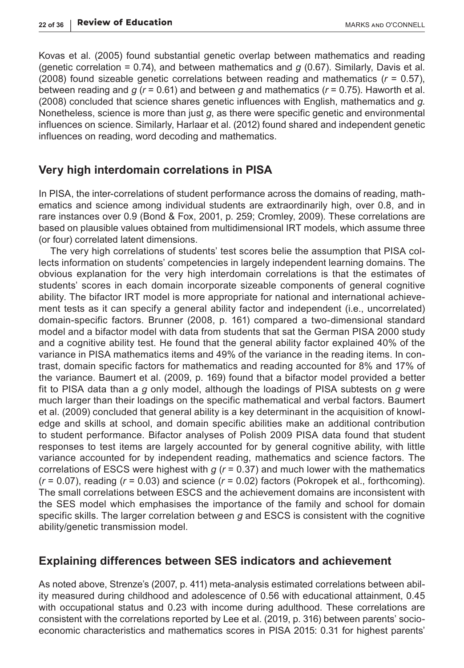Kovas et al. (2005) found substantial genetic overlap between mathematics and reading (genetic correlation = 0.74), and between mathematics and *g* (0.67). Similarly, Davis et al. (2008) found sizeable genetic correlations between reading and mathematics (*r* = 0.57), between reading and *g* (*r* = 0.61) and between *g* and mathematics (*r* = 0.75). Haworth et al. (2008) concluded that science shares genetic influences with English, mathematics and *g*. Nonetheless, science is more than just *g*, as there were specific genetic and environmental influences on science. Similarly, Harlaar et al. (2012) found shared and independent genetic influences on reading, word decoding and mathematics.

# **Very high interdomain correlations in PISA**

In PISA, the inter-correlations of student performance across the domains of reading, mathematics and science among individual students are extraordinarily high, over 0.8, and in rare instances over 0.9 (Bond & Fox, 2001, p. 259; Cromley, 2009). These correlations are based on plausible values obtained from multidimensional IRT models, which assume three (or four) correlated latent dimensions.

The very high correlations of students' test scores belie the assumption that PISA collects information on students' competencies in largely independent learning domains. The obvious explanation for the very high interdomain correlations is that the estimates of students' scores in each domain incorporate sizeable components of general cognitive ability. The bifactor IRT model is more appropriate for national and international achievement tests as it can specify a general ability factor and independent (i.e., uncorrelated) domain-specific factors. Brunner (2008, p. 161) compared a two-dimensional standard model and a bifactor model with data from students that sat the German PISA 2000 study and a cognitive ability test. He found that the general ability factor explained 40% of the variance in PISA mathematics items and 49% of the variance in the reading items. In contrast, domain specific factors for mathematics and reading accounted for 8% and 17% of the variance. Baumert et al. (2009, p. 169) found that a bifactor model provided a better fit to PISA data than a *g* only model, although the loadings of PISA subtests on *g* were much larger than their loadings on the specific mathematical and verbal factors. Baumert et al. (2009) concluded that general ability is a key determinant in the acquisition of knowledge and skills at school, and domain specific abilities make an additional contribution to student performance. Bifactor analyses of Polish 2009 PISA data found that student responses to test items are largely accounted for by general cognitive ability, with little variance accounted for by independent reading, mathematics and science factors. The correlations of ESCS were highest with *g* (*r* = 0.37) and much lower with the mathematics (*r* = 0.07), reading (*r* = 0.03) and science (*r* = 0.02) factors (Pokropek et al., forthcoming). The small correlations between ESCS and the achievement domains are inconsistent with the SES model which emphasises the importance of the family and school for domain specific skills. The larger correlation between *g* and ESCS is consistent with the cognitive ability/genetic transmission model.

#### **Explaining differences between SES indicators and achievement**

As noted above, Strenze's (2007, p. 411) meta-analysis estimated correlations between ability measured during childhood and adolescence of 0.56 with educational attainment, 0.45 with occupational status and 0.23 with income during adulthood. These correlations are consistent with the correlations reported by Lee et al. (2019, p. 316) between parents' socioeconomic characteristics and mathematics scores in PISA 2015: 0.31 for highest parents'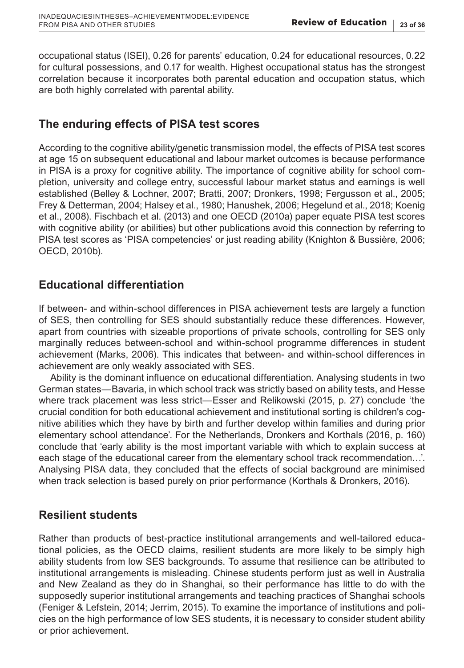occupational status (ISEI), 0.26 for parents' education, 0.24 for educational resources, 0.22 for cultural possessions, and 0.17 for wealth. Highest occupational status has the strongest correlation because it incorporates both parental education and occupation status, which are both highly correlated with parental ability.

# **The enduring effects of PISA test scores**

According to the cognitive ability/genetic transmission model, the effects of PISA test scores at age 15 on subsequent educational and labour market outcomes is because performance in PISA is a proxy for cognitive ability. The importance of cognitive ability for school completion, university and college entry, successful labour market status and earnings is well established (Belley & Lochner, 2007; Bratti, 2007; Dronkers, 1998; Fergusson et al., 2005; Frey & Detterman, 2004; Halsey et al., 1980; Hanushek, 2006; Hegelund et al., 2018; Koenig et al., 2008). Fischbach et al. (2013) and one OECD (2010a) paper equate PISA test scores with cognitive ability (or abilities) but other publications avoid this connection by referring to PISA test scores as 'PISA competencies' or just reading ability (Knighton & Bussière, 2006; OECD, 2010b).

# **Educational differentiation**

If between- and within-school differences in PISA achievement tests are largely a function of SES, then controlling for SES should substantially reduce these differences. However, apart from countries with sizeable proportions of private schools, controlling for SES only marginally reduces between-school and within-school programme differences in student achievement (Marks, 2006). This indicates that between- and within-school differences in achievement are only weakly associated with SES.

Ability is the dominant influence on educational differentiation. Analysing students in two German states—Bavaria, in which school track was strictly based on ability tests, and Hesse where track placement was less strict—Esser and Relikowski (2015, p. 27) conclude 'the crucial condition for both educational achievement and institutional sorting is children's cognitive abilities which they have by birth and further develop within families and during prior elementary school attendance'. For the Netherlands, Dronkers and Korthals (2016, p. 160) conclude that 'early ability is the most important variable with which to explain success at each stage of the educational career from the elementary school track recommendation…'. Analysing PISA data, they concluded that the effects of social background are minimised when track selection is based purely on prior performance (Korthals & Dronkers, 2016).

# **Resilient students**

Rather than products of best-practice institutional arrangements and well-tailored educational policies, as the OECD claims, resilient students are more likely to be simply high ability students from low SES backgrounds. To assume that resilience can be attributed to institutional arrangements is misleading. Chinese students perform just as well in Australia and New Zealand as they do in Shanghai, so their performance has little to do with the supposedly superior institutional arrangements and teaching practices of Shanghai schools (Feniger & Lefstein, 2014; Jerrim, 2015). To examine the importance of institutions and policies on the high performance of low SES students, it is necessary to consider student ability or prior achievement.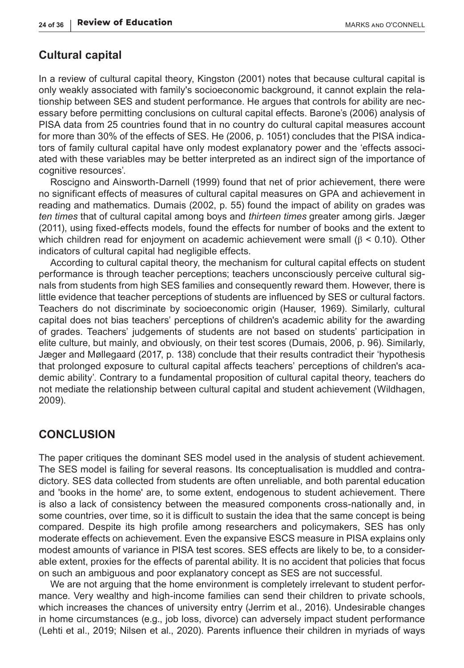#### **Cultural capital**

In a review of cultural capital theory, Kingston (2001) notes that because cultural capital is only weakly associated with family's socioeconomic background, it cannot explain the relationship between SES and student performance. He argues that controls for ability are necessary before permitting conclusions on cultural capital effects. Barone's (2006) analysis of PISA data from 25 countries found that in no country do cultural capital measures account for more than 30% of the effects of SES. He (2006, p. 1051) concludes that the PISA indicators of family cultural capital have only modest explanatory power and the 'effects associated with these variables may be better interpreted as an indirect sign of the importance of cognitive resources'.

Roscigno and Ainsworth-Darnell (1999) found that net of prior achievement, there were no significant effects of measures of cultural capital measures on GPA and achievement in reading and mathematics. Dumais (2002, p. 55) found the impact of ability on grades was *ten times* that of cultural capital among boys and *thirteen times* greater among girls. Jæger (2011), using fixed-effects models, found the effects for number of books and the extent to which children read for enjoyment on academic achievement were small (β < 0.10). Other indicators of cultural capital had negligible effects.

According to cultural capital theory, the mechanism for cultural capital effects on student performance is through teacher perceptions; teachers unconsciously perceive cultural signals from students from high SES families and consequently reward them. However, there is little evidence that teacher perceptions of students are influenced by SES or cultural factors. Teachers do not discriminate by socioeconomic origin (Hauser, 1969). Similarly, cultural capital does not bias teachers' perceptions of children's academic ability for the awarding of grades. Teachers' judgements of students are not based on students' participation in elite culture, but mainly, and obviously, on their test scores (Dumais, 2006, p. 96). Similarly, Jæger and Møllegaard (2017, p. 138) conclude that their results contradict their 'hypothesis that prolonged exposure to cultural capital affects teachers' perceptions of children's academic ability'. Contrary to a fundamental proposition of cultural capital theory, teachers do not mediate the relationship between cultural capital and student achievement (Wildhagen, 2009).

### **CONCLUSION**

The paper critiques the dominant SES model used in the analysis of student achievement. The SES model is failing for several reasons. Its conceptualisation is muddled and contradictory. SES data collected from students are often unreliable, and both parental education and 'books in the home' are, to some extent, endogenous to student achievement. There is also a lack of consistency between the measured components cross-nationally and, in some countries, over time, so it is difficult to sustain the idea that the same concept is being compared. Despite its high profile among researchers and policymakers, SES has only moderate effects on achievement. Even the expansive ESCS measure in PISA explains only modest amounts of variance in PISA test scores. SES effects are likely to be, to a considerable extent, proxies for the effects of parental ability. It is no accident that policies that focus on such an ambiguous and poor explanatory concept as SES are not successful.

We are not arguing that the home environment is completely irrelevant to student performance. Very wealthy and high-income families can send their children to private schools, which increases the chances of university entry (Jerrim et al., 2016). Undesirable changes in home circumstances (e.g., job loss, divorce) can adversely impact student performance (Lehti et al., 2019; Nilsen et al., 2020). Parents influence their children in myriads of ways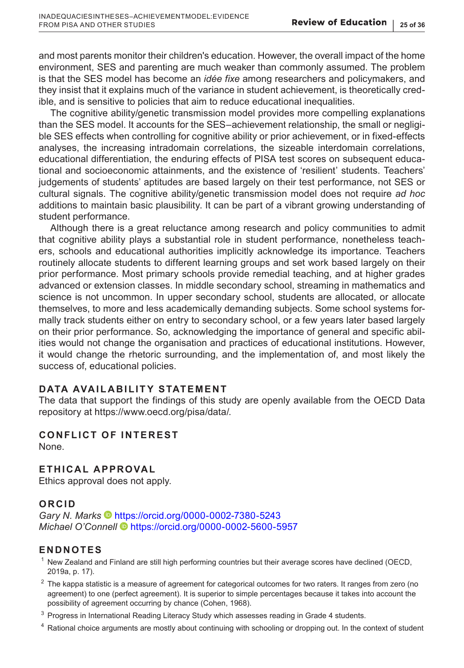and most parents monitor their children's education. However, the overall impact of the home environment, SES and parenting are much weaker than commonly assumed. The problem is that the SES model has become an *idée fixe* among researchers and policymakers, and they insist that it explains much of the variance in student achievement, is theoretically credible, and is sensitive to policies that aim to reduce educational inequalities.

The cognitive ability/genetic transmission model provides more compelling explanations than the SES model. It accounts for the SES–achievement relationship, the small or negligible SES effects when controlling for cognitive ability or prior achievement, or in fixed-effects analyses, the increasing intradomain correlations, the sizeable interdomain correlations, educational differentiation, the enduring effects of PISA test scores on subsequent educational and socioeconomic attainments, and the existence of 'resilient' students. Teachers' judgements of students' aptitudes are based largely on their test performance, not SES or cultural signals. The cognitive ability/genetic transmission model does not require *ad hoc* additions to maintain basic plausibility. It can be part of a vibrant growing understanding of student performance.

Although there is a great reluctance among research and policy communities to admit that cognitive ability plays a substantial role in student performance, nonetheless teachers, schools and educational authorities implicitly acknowledge its importance. Teachers routinely allocate students to different learning groups and set work based largely on their prior performance. Most primary schools provide remedial teaching, and at higher grades advanced or extension classes. In middle secondary school, streaming in mathematics and science is not uncommon. In upper secondary school, students are allocated, or allocate themselves, to more and less academically demanding subjects. Some school systems formally track students either on entry to secondary school, or a few years later based largely on their prior performance. So, acknowledging the importance of general and specific abilities would not change the organisation and practices of educational institutions. However, it would change the rhetoric surrounding, and the implementation of, and most likely the success of, educational policies.

#### **DATA AVAILABILITY STATEMENT**

The data that support the findings of this study are openly available from the OECD Data repository at [https://www.oecd.org/pisa/data/.](https://www.oecd.org/pisa/data/)

# **CONFLICT OF INTEREST**

None.

### **ETHICAL APPROVAL**

Ethics approval does not apply.

#### **ORCID**

*Gary N. Marks* • <https://orcid.org/0000-0002-7380-5243> *Michael O'Connell* <https://orcid.org/0000-0002-5600-5957>

# **ENDNOTES**

- $1$  New Zealand and Finland are still high performing countries but their average scores have declined (OECD, 2019a, p. 17).
- $2$  The kappa statistic is a measure of agreement for categorical outcomes for two raters. It ranges from zero (no agreement) to one (perfect agreement). It is superior to simple percentages because it takes into account the possibility of agreement occurring by chance (Cohen, 1968).
- <sup>3</sup> Progress in International Reading Literacy Study which assesses reading in Grade 4 students.
- $<sup>4</sup>$  Rational choice arguments are mostly about continuing with schooling or dropping out. In the context of student</sup>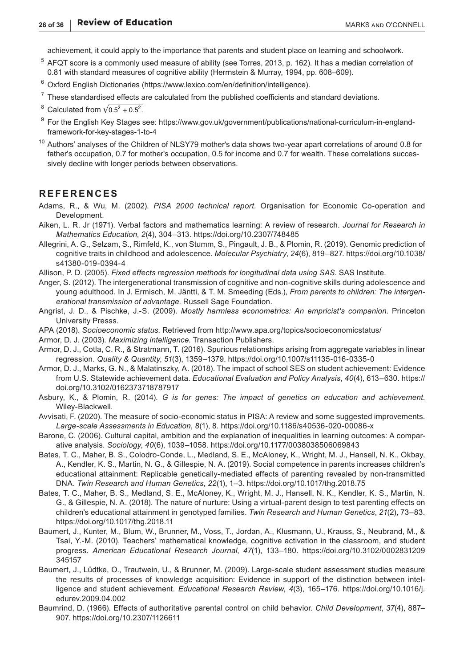achievement, it could apply to the importance that parents and student place on learning and schoolwork.

- <sup>5</sup> AFQT score is a commonly used measure of ability (see Torres, 2013, p. 162). It has a median correlation of 0.81 with standard measures of cognitive ability (Herrnstein & Murray, 1994, pp. 608–609).
- <sup>6</sup> Oxford English Dictionaries ([https://www.lexico.com/en/definition/intelligence](https://www.lexico.com/en/definition/intelligence://www.lexico.com/en/definition/intelligence)).
- $7$  These standardised effects are calculated from the published coefficients and standard deviations.
- <sup>8</sup> Calculated from  $\sqrt{0.5^2 + 0.5^2}$ .
- <sup>9</sup> For the English Key Stages see: [https://www.gov.uk/government/publications/national-curriculum-in-england](https://www.gov.uk/government/publications/national-curriculum-in-england-framework-for-key-stages-1-to-4://www.gov.uk/government/publications/national-curriculum-in-england-framework-for-key-stages-1-to-4)[framework-for-key-stages-1-to-4](https://www.gov.uk/government/publications/national-curriculum-in-england-framework-for-key-stages-1-to-4://www.gov.uk/government/publications/national-curriculum-in-england-framework-for-key-stages-1-to-4)
- <sup>10</sup> Authors' analyses of the Children of NLSY79 mother's data shows two-year apart correlations of around 0.8 for father's occupation, 0.7 for mother's occupation, 0.5 for income and 0.7 for wealth. These correlations successively decline with longer periods between observations.

#### **REFERENCES**

- Adams, R., & Wu, M. (2002). *PISA 2000 technical report*. Organisation for Economic Co-operation and Development.
- Aiken, L. R. Jr (1971). Verbal factors and mathematics learning: A review of research. *Journal for Research in Mathematics Education*, *2*(4), 304–313.<https://doi.org/10.2307/748485>
- Allegrini, A. G., Selzam, S., Rimfeld, K., von Stumm, S., Pingault, J. B., & Plomin, R. (2019). Genomic prediction of cognitive traits in childhood and adolescence. *Molecular Psychiatry*, *24*(6), 819–827. [https://doi.org/10.1038/](https://doi.org/10.1038/s41380-019-0394-4) [s41380-019-0394-4](https://doi.org/10.1038/s41380-019-0394-4)
- Allison, P. D. (2005). *Fixed effects regression methods for longitudinal data using SAS*. SAS Institute.
- Anger, S. (2012). The intergenerational transmission of cognitive and non-cognitive skills during adolescence and young adulthood. In J. Ermisch, M. Jäntti, & T. M. Smeeding (Eds.), *From parents to children: The intergenerational transmission of advantage*. Russell Sage Foundation.
- Angrist, J. D., & Pischke, J.-S. (2009). *Mostly harmless econometrics: An empricist's companion*. Princeton University Presss.
- APA (2018). *Socioeconomic status*. Retrieved from<http://www.apa.org/topics/socioeconomicstatus/>
- Armor, D. J. (2003). *Maximizing intelligence*. Transaction Publishers.
- Armor, D. J., Cotla, C. R., & Stratmann, T. (2016). Spurious relationships arising from aggregate variables in linear regression. *Quality & Quantity*, *51*(3), 1359–1379.<https://doi.org/10.1007/s11135-016-0335-0>
- Armor, D. J., Marks, G. N., & Malatinszky, A. (2018). The impact of school SES on student achievement: Evidence from U.S. Statewide achievement data. *Educational Evaluation and Policy Analysis*, *40*(4), 613–630. [https://](https://doi.org/10.3102/0162373718787917) [doi.org/10.3102/0162373718787917](https://doi.org/10.3102/0162373718787917)
- Asbury, K., & Plomin, R. (2014). *G is for genes: The impact of genetics on education and achievement*. Wiley-Blackwell.
- Avvisati, F. (2020). The measure of socio-economic status in PISA: A review and some suggested improvements. *Large-scale Assessments in Education*, *8*(1), 8. <https://doi.org/10.1186/s40536-020-00086-x>
- Barone, C. (2006). Cultural capital, ambition and the explanation of inequalities in learning outcomes: A comparative analysis. *Sociology*, *40*(6), 1039–1058.<https://doi.org/10.1177/0038038506069843>
- Bates, T. C., Maher, B. S., Colodro-Conde, L., Medland, S. E., McAloney, K., Wright, M. J., Hansell, N. K., Okbay, A., Kendler, K. S., Martin, N. G., & Gillespie, N. A. (2019). Social competence in parents increases children's educational attainment: Replicable genetically-mediated effects of parenting revealed by non-transmitted DNA. *Twin Research and Human Genetics*, *22*(1), 1–3. <https://doi.org/10.1017/thg.2018.75>
- Bates, T. C., Maher, B. S., Medland, S. E., McAloney, K., Wright, M. J., Hansell, N. K., Kendler, K. S., Martin, N. G., & Gillespie, N. A. (2018). The nature of nurture: Using a virtual-parent design to test parenting effects on children's educational attainment in genotyped families. *Twin Research and Human Genetics*, *21*(2), 73–83. <https://doi.org/10.1017/thg.2018.11>
- Baumert, J., Kunter, M., Blum, W., Brunner, M., Voss, T., Jordan, A., Klusmann, U., Krauss, S., Neubrand, M., & Tsai, Y.-M. (2010). Teachers' mathematical knowledge, cognitive activation in the classroom, and student progress. *American Educational Research Journal*, *47*(1), 133–180. [https://doi.org/10.3102/0002831209](https://doi.org/10.3102/0002831209345157) [345157](https://doi.org/10.3102/0002831209345157)
- Baumert, J., Lüdtke, O., Trautwein, U., & Brunner, M. (2009). Large-scale student assessment studies measure the results of processes of knowledge acquisition: Evidence in support of the distinction between intelligence and student achievement. *Educational Research Review*, *4*(3), 165–176. [https://doi.org/10.1016/j.](https://doi.org/10.1016/j.edurev.2009.04.002) [edurev.2009.04.002](https://doi.org/10.1016/j.edurev.2009.04.002)
- Baumrind, D. (1966). Effects of authoritative parental control on child behavior. *Child Development*, *37*(4), 887– 907. <https://doi.org/10.2307/1126611>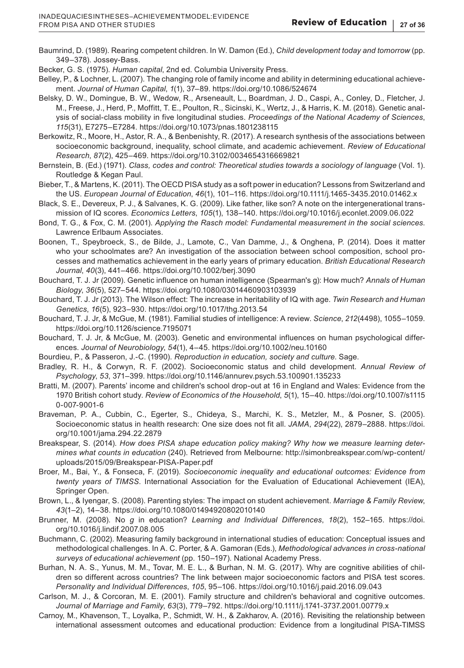- Baumrind, D. (1989). Rearing competent children. In W. Damon (Ed.), *Child development today and tomorrow* (pp. 349–378). Jossey-Bass.
- Becker, G. S. (1975). *Human capital*, 2nd ed. Columbia University Press.
- Belley, P., & Lochner, L. (2007). The changing role of family income and ability in determining educational achievement. *Journal of Human Capital*, *1*(1), 37–89.<https://doi.org/10.1086/524674>
- Belsky, D. W., Domingue, B. W., Wedow, R., Arseneault, L., Boardman, J. D., Caspi, A., Conley, D., Fletcher, J. M., Freese, J., Herd, P., Moffitt, T. E., Poulton, R., Sicinski, K., Wertz, J., & Harris, K. M. (2018). Genetic analysis of social-class mobility in five longitudinal studies. *Proceedings of the National Academy of Sciences*, *115*(31), E7275–E7284. <https://doi.org/10.1073/pnas.1801238115>
- Berkowitz, R., Moore, H., Astor, R. A., & Benbenishty, R. (2017). A research synthesis of the associations between socioeconomic background, inequality, school climate, and academic achievement. *Review of Educational Research*, *87*(2), 425–469. <https://doi.org/10.3102/0034654316669821>
- Bernstein, B. (Ed.) (1971). *Class, codes and control: Theoretical studies towards a sociology of language* (Vol. 1). Routledge & Kegan Paul.
- Bieber, T., & Martens, K. (2011). The OECD PISA study as a soft power in education? Lessons from Switzerland and the US. *European Journal of Education*, *46*(1), 101–116.<https://doi.org/10.1111/j.1465-3435.2010.01462.x>
- Black, S. E., Devereux, P. J., & Salvanes, K. G. (2009). Like father, like son? A note on the intergenerational transmission of IQ scores. *Economics Letters*, *105*(1), 138–140.<https://doi.org/10.1016/j.econlet.2009.06.022>
- Bond, T. G., & Fox, C. M. (2001). *Applying the Rasch model: Fundamental measurement in the social sciences*. Lawrence Erlbaum Associates.
- Boonen, T., Speybroeck, S., de Bilde, J., Lamote, C., Van Damme, J., & Onghena, P. (2014). Does it matter who your schoolmates are? An investigation of the association between school composition, school processes and mathematics achievement in the early years of primary education. *British Educational Research Journal*, *40*(3), 441–466. <https://doi.org/10.1002/berj.3090>
- Bouchard, T. J. Jr (2009). Genetic influence on human intelligence (Spearman's g): How much? *Annals of Human Biology*, *36*(5), 527–544.<https://doi.org/10.1080/03014460903103939>
- Bouchard, T. J. Jr (2013). The Wilson effect: The increase in heritability of IQ with age. *Twin Research and Human Genetics*, *16*(5), 923–930.<https://doi.org/10.1017/thg.2013.54>
- Bouchard, T. J. Jr, & McGue, M. (1981). Familial studies of intelligence: A review. *Science*, *212*(4498), 1055–1059. <https://doi.org/10.1126/science.7195071>
- Bouchard, T. J. Jr, & McGue, M. (2003). Genetic and environmental influences on human psychological differences. *Journal of Neurobiology*, *54*(1), 4–45. <https://doi.org/10.1002/neu.10160>
- Bourdieu, P., & Passeron, J.-C. (1990). *Reproduction in education, society and culture*. Sage.
- Bradley, R. H., & Corwyn, R. F. (2002). Socioeconomic status and child development. *Annual Review of Psychology*, *53*, 371–399. <https://doi.org/10.1146/annurev.psych.53.100901.135233>
- Bratti, M. (2007). Parents' income and children's school drop-out at 16 in England and Wales: Evidence from the 1970 British cohort study. *Review of Economics of the Household*, *5*(1), 15–40. [https://doi.org/10.1007/s1115](https://doi.org/10.1007/s11150-007-9001-6) [0-007-9001-6](https://doi.org/10.1007/s11150-007-9001-6)
- Braveman, P. A., Cubbin, C., Egerter, S., Chideya, S., Marchi, K. S., Metzler, M., & Posner, S. (2005). Socioeconomic status in health research: One size does not fit all. *JAMA*, *294*(22), 2879–2888. [https://doi.](https://doi.org/10.1001/jama.294.22.2879) [org/10.1001/jama.294.22.2879](https://doi.org/10.1001/jama.294.22.2879)
- Breakspear, S. (2014). *How does PISA shape education policy making? Why how we measure learning determines what counts in education* (240). Retrieved from Melbourne: [http://simonbreakspear.com/wp-content/](http://simonbreakspear.com/wp-content/uploads/2015/09/Breakspear-PISA-Paper.pdf) [uploads/2015/09/Breakspear-PISA-Paper.pdf](http://simonbreakspear.com/wp-content/uploads/2015/09/Breakspear-PISA-Paper.pdf)
- Broer, M., Bai, Y., & Fonseca, F. (2019). *Socioeconomic inequality and educational outcomes: Evidence from twenty years of TIMSS*. International Association for the Evaluation of Educational Achievement (IEA), Springer Open.
- Brown, L., & Iyengar, S. (2008). Parenting styles: The impact on student achievement. *Marriage & Family Review*, *43*(1–2), 14–38.<https://doi.org/10.1080/01494920802010140>
- Brunner, M. (2008). No *g* in education? *Learning and Individual Differences*, *18*(2), 152–165. [https://doi.](https://doi.org/10.1016/j.lindif.2007.08.005) [org/10.1016/j.lindif.2007.08.005](https://doi.org/10.1016/j.lindif.2007.08.005)
- Buchmann, C. (2002). Measuring family background in international studies of education: Conceptual issues and methodological challenges. In A. C. Porter, & A. Gamoran (Eds.), *Methodological advances in cross-national surveys of educational achievement* (pp. 150–197). National Academy Press.
- Burhan, N. A. S., Yunus, M. M., Tovar, M. E. L., & Burhan, N. M. G. (2017). Why are cognitive abilities of children so different across countries? The link between major socioeconomic factors and PISA test scores. *Personality and Individual Differences*, *105*, 95–106. <https://doi.org/10.1016/j.paid.2016.09.043>
- Carlson, M. J., & Corcoran, M. E. (2001). Family structure and children's behavioral and cognitive outcomes. *Journal of Marriage and Family*, *63*(3), 779–792. <https://doi.org/10.1111/j.1741-3737.2001.00779.x>
- Carnoy, M., Khavenson, T., Loyalka, P., Schmidt, W. H., & Zakharov, A. (2016). Revisiting the relationship between international assessment outcomes and educational production: Evidence from a longitudinal PISA-TIMSS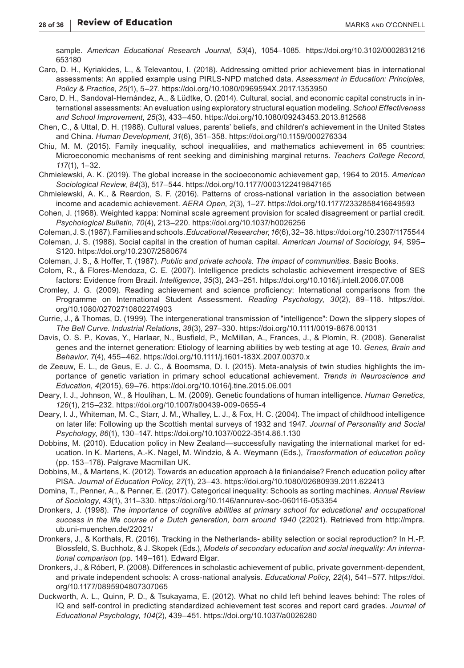sample. *American Educational Research Journal*, *53*(4), 1054–1085. [https://doi.org/10.3102/0002831216](https://doi.org/10.3102/0002831216653180) [653180](https://doi.org/10.3102/0002831216653180)

- Caro, D. H., Kyriakides, L., & Televantou, I. (2018). Addressing omitted prior achievement bias in international assessments: An applied example using PIRLS-NPD matched data. *Assessment in Education: Principles, Policy & Practice*, *25*(1), 5–27. <https://doi.org/10.1080/0969594X.2017.1353950>
- Caro, D. H., Sandoval-Hernández, A., & Lüdtke, O. (2014). Cultural, social, and economic capital constructs in international assessments: An evaluation using exploratory structural equation modeling. *School Effectiveness and School Improvement*, *25*(3), 433–450. <https://doi.org/10.1080/09243453.2013.812568>
- Chen, C., & Uttal, D. H. (1988). Cultural values, parents' beliefs, and children's achievement in the United States and China. *Human Development*, *31*(6), 351–358. <https://doi.org/10.1159/000276334>
- Chiu, M. M. (2015). Family inequality, school inequalities, and mathematics achievement in 65 countries: Microeconomic mechanisms of rent seeking and diminishing marginal returns. *Teachers College Record*, *117*(1), 1–32.
- Chmielewski, A. K. (2019). The global increase in the socioeconomic achievement gap, 1964 to 2015. *American Sociological Review*, *84*(3), 517–544.<https://doi.org/10.1177/0003122419847165>
- Chmielewski, A. K., & Reardon, S. F. (2016). Patterns of cross-national variation in the association between income and academic achievement. *AERA Open*, *2*(3), 1–27. <https://doi.org/10.1177/2332858416649593>
- Cohen, J. (1968). Weighted kappa: Nominal scale agreement provision for scaled disagreement or partial credit. *Psychological Bulletin*, *70*(4), 213–220. <https://doi.org/10.1037/h0026256>
- Coleman, J. S. (1987). Families and schools. *Educational Researcher*, *16*(6), 32–38.<https://doi.org/10.2307/1175544>
- Coleman, J. S. (1988). Social capital in the creation of human capital. *American Journal of Sociology*, *94*, S95– S120.<https://doi.org/10.2307/2580674>
- Coleman, J. S., & Hoffer, T. (1987). *Public and private schools. The impact of communities*. Basic Books.
- Colom, R., & Flores-Mendoza, C. E. (2007). Intelligence predicts scholastic achievement irrespective of SES factors: Evidence from Brazil. *Intelligence*, *35*(3), 243–251. <https://doi.org/10.1016/j.intell.2006.07.008>
- Cromley, J. G. (2009). Reading achievement and science proficiency: International comparisons from the Programme on International Student Assessment. *Reading Psychology*, *30*(2), 89–118. [https://doi.](https://doi.org/10.1080/02702710802274903) [org/10.1080/02702710802274903](https://doi.org/10.1080/02702710802274903)
- Currie, J., & Thomas, D. (1999). The intergenerational transmission of "intelligence": Down the slippery slopes of *The Bell Curve*. *Industrial Relations*, *38*(3), 297–330.<https://doi.org/10.1111/0019-8676.00131>
- Davis, O. S. P., Kovas, Y., Harlaar, N., Busfield, P., McMillan, A., Frances, J., & Plomin, R. (2008). Generalist genes and the internet generation: Etiology of learning abilities by web testing at age 10. *Genes, Brain and Behavior*, *7*(4), 455–462.<https://doi.org/10.1111/j.1601-183X.2007.00370.x>
- de Zeeuw, E. L., de Geus, E. J. C., & Boomsma, D. I. (2015). Meta-analysis of twin studies highlights the importance of genetic variation in primary school educational achievement. *Trends in Neuroscience and Education*, *4*(2015), 69–76.<https://doi.org/10.1016/j.tine.2015.06.001>
- Deary, I. J., Johnson, W., & Houlihan, L. M. (2009). Genetic foundations of human intelligence. *Human Genetics*, *126*(1), 215–232. <https://doi.org/10.1007/s00439-009-0655-4>
- Deary, I. J., Whiteman, M. C., Starr, J. M., Whalley, L. J., & Fox, H. C. (2004). The impact of childhood intelligence on later life: Following up the Scottish mental surveys of 1932 and 1947. *Journal of Personality and Social Psychology*, *86*(1), 130–147. <https://doi.org/10.1037/0022-3514.86.1.130>
- Dobbins, M. (2010). Education policy in New Zealand—successfully navigating the international market for education. In K. Martens, A.-K. Nagel, M. Windzio, & A. Weymann (Eds.), *Transformation of education policy* (pp. 153–178). Palgrave Macmillan UK.
- Dobbins, M., & Martens, K. (2012). Towards an education approach à la finlandaise? French education policy after PISA. *Journal of Education Policy*, *27*(1), 23–43. <https://doi.org/10.1080/02680939.2011.622413>
- Domina, T., Penner, A., & Penner, E. (2017). Categorical inequality: Schools as sorting machines. *Annual Review of Sociology*, *43*(1), 311–330. <https://doi.org/10.1146/annurev-soc-060116-053354>
- Dronkers, J. (1998). *The importance of cognitive abilities at primary school for educational and occupational success in the life course of a Dutch generation, born around 1940* (22021). Retrieved from [http://mpra.](http://mpra.ub.uni-muenchen.de/22021/) [ub.uni-muenchen.de/22021/](http://mpra.ub.uni-muenchen.de/22021/)
- Dronkers, J., & Korthals, R. (2016). Tracking in the Netherlands- ability selection or social reproduction? In H.-P. Blossfeld, S. Buchholz, & J. Skopek (Eds.), *Models of secondary education and social inequality: An international comparison* (pp. 149–161). Edward Elgar.
- Dronkers, J., & Róbert, P. (2008). Differences in scholastic achievement of public, private government-dependent, and private independent schools: A cross-national analysis. *Educational Policy*, *22*(4), 541–577. [https://doi.](https://doi.org/10.1177/0895904807307065) [org/10.1177/0895904807307065](https://doi.org/10.1177/0895904807307065)
- Duckworth, A. L., Quinn, P. D., & Tsukayama, E. (2012). What no child left behind leaves behind: The roles of IQ and self-control in predicting standardized achievement test scores and report card grades. *Journal of Educational Psychology*, *104*(2), 439–451. <https://doi.org/10.1037/a0026280>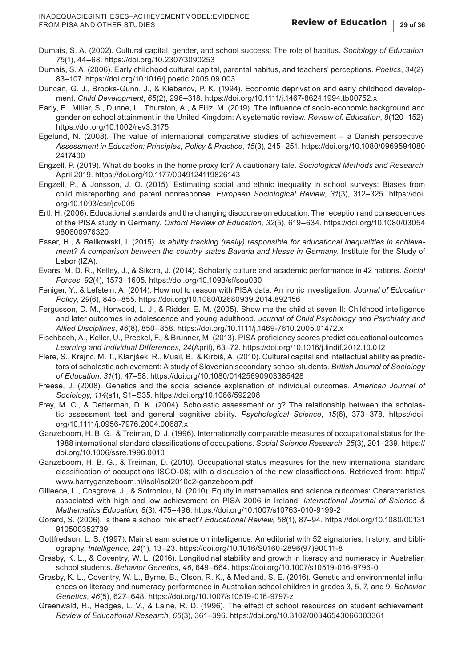- Dumais, S. A. (2002). Cultural capital, gender, and school success: The role of habitus. *Sociology of Education*, *75*(1), 44–68.<https://doi.org/10.2307/3090253>
- Dumais, S. A. (2006). Early childhood cultural capital, parental habitus, and teachers' perceptions. *Poetics*, *34*(2), 83–107.<https://doi.org/10.1016/j.poetic.2005.09.003>
- Duncan, G. J., Brooks-Gunn, J., & Klebanov, P. K. (1994). Economic deprivation and early childhood development. *Child Development*, *65*(2), 296–318. <https://doi.org/10.1111/j.1467-8624.1994.tb00752.x>
- Early, E., Miller, S., Dunne, L., Thurston, A., & Filiz, M. (2019). The influence of socio-economic background and gender on school attainment in the United Kingdom: A systematic review. *Review of*. *Education*, *8*(120–152), <https://doi.org/10.1002/rev3.3175>
- Egelund, N. (2008). The value of international comparative studies of achievement a Danish perspective. *Assessment in Education: Principles, Policy & Practice*, *15*(3), 245–251. [https://doi.org/10.1080/0969594080](https://doi.org/10.1080/09695940802417400) [2417400](https://doi.org/10.1080/09695940802417400)
- Engzell, P. (2019). What do books in the home proxy for? A cautionary tale. *Sociological Methods and Research*, April 2019.<https://doi.org/10.1177/0049124119826143>
- Engzell, P., & Jonsson, J. O. (2015). Estimating social and ethnic inequality in school surveys: Biases from child misreporting and parent nonresponse. *European Sociological Review*, *31*(3), 312–325. [https://doi.](https://doi.org/10.1093/esr/jcv005) [org/10.1093/esr/jcv005](https://doi.org/10.1093/esr/jcv005)
- Ertl, H. (2006). Educational standards and the changing discourse on education: The reception and consequences of the PISA study in Germany. *Oxford Review of Education*, *32*(5), 619–634. [https://doi.org/10.1080/03054](https://doi.org/10.1080/03054980600976320) [980600976320](https://doi.org/10.1080/03054980600976320)
- Esser, H., & Relikowski, I. (2015). *Is ability tracking (really) responsible for educational inequalities in achievement? A comparison between the country states Bavaria and Hesse in Germany*. Institute for the Study of Labor (IZA).
- Evans, M. D. R., Kelley, J., & Sikora, J. (2014). Scholarly culture and academic performance in 42 nations. *Social Forces*, *92*(4), 1573–1605. <https://doi.org/10.1093/sf/sou030>
- Feniger, Y., & Lefstein, A. (2014). How not to reason with PISA data: An ironic investigation. *Journal of Education Policy*, *29*(6), 845–855.<https://doi.org/10.1080/02680939.2014.892156>
- Fergusson, D. M., Horwood, L. J., & Ridder, E. M. (2005). Show me the child at seven II: Childhood intelligence and later outcomes in adolescence and young adulthood. *Journal of Child Psychology and Psychiatry and Allied Disciplines*, *46*(8), 850–858.<https://doi.org/10.1111/j.1469-7610.2005.01472.x>
- Fischbach, A., Keller, U., Preckel, F., & Brunner, M. (2013). PISA proficiency scores predict educational outcomes. *Learning and Individual Differences*, *24*(April), 63–72. <https://doi.org/10.1016/j.lindif.2012.10.012>
- Flere, S., Krajnc, M. T., Klanjšek, R., Musil, B., & Kirbiš, A. (2010). Cultural capital and intellectual ability as predictors of scholastic achievement: A study of Slovenian secondary school students. *British Journal of Sociology of Education*, *31*(1), 47–58.<https://doi.org/10.1080/01425690903385428>
- Freese, J. (2008). Genetics and the social science explanation of individual outcomes. *American Journal of Sociology*, *114*(s1), S1–S35. <https://doi.org/10.1086/592208>
- Frey, M. C., & Detterman, D. K. (2004). Scholastic assessment or *g*? The relationship between the scholastic assessment test and general cognitive ability. *Psychological Science*, *15*(6), 373–378. [https://doi.](https://doi.org/10.1111/j.0956-7976.2004.00687.x) [org/10.1111/j.0956-7976.2004.00687.x](https://doi.org/10.1111/j.0956-7976.2004.00687.x)
- Ganzeboom, H. B. G., & Treiman, D. J. (1996). Internationally comparable measures of occupational status for the 1988 international standard classifications of occupations. *Social Science Research*, *25*(3), 201–239. [https://](https://doi.org/10.1006/ssre.1996.0010) [doi.org/10.1006/ssre.1996.0010](https://doi.org/10.1006/ssre.1996.0010)
- Ganzeboom, H. B. G., & Treiman, D. (2010). Occupational status measures for the new international standard classification of occupations ISCO-08; with a discussion of the new classifications. Retrieved from: [http://](http://www.harryganzeboom.nl/isol/isol2010c2-ganzeboom.pdf) [www.harryganzeboom.nl/isol/isol2010c2-ganzeboom.pdf](http://www.harryganzeboom.nl/isol/isol2010c2-ganzeboom.pdf)
- Gilleece, L., Cosgrove, J., & Sofroniou, N. (2010). Equity in mathematics and science outcomes: Characteristics associated with high and low achievement on PISA 2006 in Ireland. *International Journal of Science & Mathematics Education*, *8*(3), 475–496.<https://doi.org/10.1007/s10763-010-9199-2>
- Gorard, S. (2006). Is there a school mix effect? *Educational Review*, *58*(1), 87–94. [https://doi.org/10.1080/00131](https://doi.org/10.1080/00131910500352739) [910500352739](https://doi.org/10.1080/00131910500352739)
- Gottfredson, L. S. (1997). Mainstream science on intelligence: An editorial with 52 signatories, history, and bibliography. *Intelligence*, *24*(1), 13–23. [https://doi.org/10.1016/S0160-2896\(97\)90011-8](https://doi.org/10.1016/S0160-2896(97)90011-8)
- Grasby, K. L., & Coventry, W. L. (2016). Longitudinal stability and growth in literacy and numeracy in Australian school students. *Behavior Genetics*, *46*, 649–664. <https://doi.org/10.1007/s10519-016-9796-0>
- Grasby, K. L., Coventry, W. L., Byrne, B., Olson, R. K., & Medland, S. E. (2016). Genetic and environmental influences on literacy and numeracy performance in Australian school children in grades 3, 5, 7, and 9. *Behavior Genetics*, *46*(5), 627–648.<https://doi.org/10.1007/s10519-016-9797-z>
- Greenwald, R., Hedges, L. V., & Laine, R. D. (1996). The effect of school resources on student achievement. *Review of Educational Research*, *66*(3), 361–396.<https://doi.org/10.3102/00346543066003361>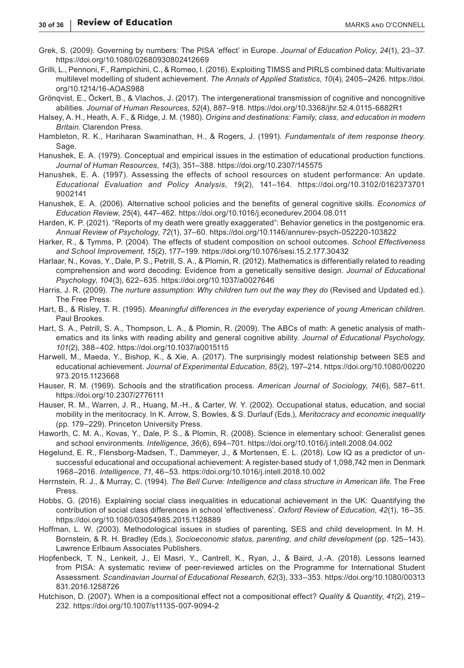- Grek, S. (2009). Governing by numbers: The PISA 'effect' in Europe. *Journal of Education Policy*, *24*(1), 23–37. <https://doi.org/10.1080/02680930802412669>
- Grilli, L., Pennoni, F., Rampichini, C., & Romeo, I. (2016). Exploiting TIMSS and PIRLS combined data: Multivariate multilevel modelling of student achievement. *The Annals of Applied Statistics*, *10*(4), 2405–2426. [https://doi.](https://doi.org/10.1214/16-AOAS988) [org/10.1214/16-AOAS988](https://doi.org/10.1214/16-AOAS988)
- Grönqvist, E., Öckert, B., & Vlachos, J. (2017). The intergenerational transmission of cognitive and noncognitive abilities. *Journal of Human Resources*, *52*(4), 887–918. <https://doi.org/10.3368/jhr.52.4.0115-6882R1>
- Halsey, A. H., Heath, A. F., & Ridge, J. M. (1980). *Origins and destinations: Family, class, and education in modern Britain*. Clarendon Press.
- Hambleton, R. K., Hariharan Swaminathan, H., & Rogers, J. (1991). *Fundamentals of item response theory*. Sage.
- Hanushek, E. A. (1979). Conceptual and empirical issues in the estimation of educational production functions. *Journal of Human Resources*, *14*(3), 351–388.<https://doi.org/10.2307/145575>
- Hanushek, E. A. (1997). Assessing the effects of school resources on student performance: An update. *Educational Evaluation and Policy Analysis*, *19*(2), 141–164. [https://doi.org/10.3102/0162373701](https://doi.org/10.3102/01623737019002141) [9002141](https://doi.org/10.3102/01623737019002141)
- Hanushek, E. A. (2006). Alternative school policies and the benefits of general cognitive skills. *Economics of Education Review*, *25*(4), 447–462. <https://doi.org/10.1016/j.econedurev.2004.08.011>
- Harden, K. P. (2021). "Reports of my death were greatly exaggerated": Behavior genetics in the postgenomic era. *Annual Review of Psychology*, *72*(1), 37–60.<https://doi.org/10.1146/annurev-psych-052220-103822>
- Harker, R., & Tymms, P. (2004). The effects of student composition on school outcomes. *School Effectiveness and School Improvement*, *15*(2), 177–199.<https://doi.org/10.1076/sesi.15.2.177.30432>
- Harlaar, N., Kovas, Y., Dale, P. S., Petrill, S. A., & Plomin, R. (2012). Mathematics is differentially related to reading comprehension and word decoding: Evidence from a genetically sensitive design. *Journal of Educational Psychology*, *104*(3), 622–635. <https://doi.org/10.1037/a0027646>
- Harris, J. R. (2009). *The nurture assumption: Why children turn out the way they do* (Revised and Updated ed.). The Free Press.
- Hart, B., & Risley, T. R. (1995). *Meaningful differences in the everyday experience of young American children*. Paul Brookes.
- Hart, S. A., Petrill, S. A., Thompson, L. A., & Plomin, R. (2009). The ABCs of math: A genetic analysis of mathematics and its links with reading ability and general cognitive ability. *Journal of Educational Psychology*, *101*(2), 388–402. <https://doi.org/10.1037/a0015115>
- Harwell, M., Maeda, Y., Bishop, K., & Xie, A. (2017). The surprisingly modest relationship between SES and educational achievement. *Journal of Experimental Education*, *85*(2), 197–214. [https://doi.org/10.1080/00220](https://doi.org/10.1080/00220973.2015.1123668) [973.2015.1123668](https://doi.org/10.1080/00220973.2015.1123668)
- Hauser, R. M. (1969). Schools and the stratification process. *American Journal of Sociology*, *74*(6), 587–611. <https://doi.org/10.2307/2776111>
- Hauser, R. M., Warren, J. R., Huang, M.-H., & Carter, W. Y. (2002). Occupational status, education, and social mobility in the meritocracy. In K. Arrow, S. Bowles, & S. Durlauf (Eds.), *Meritocracy and economic inequality* (pp. 179–229). Princeton University Press.
- Haworth, C. M. A., Kovas, Y., Dale, P. S., & Plomin, R. (2008). Science in elementary school: Generalist genes and school environments. *Intelligence*, *36*(6), 694–701. <https://doi.org/10.1016/j.intell.2008.04.002>
- Hegelund, E. R., Flensborg-Madsen, T., Dammeyer, J., & Mortensen, E. L. (2018). Low IQ as a predictor of unsuccessful educational and occupational achievement: A register-based study of 1,098,742 men in Denmark 1968–2016. *Intelligence*, *71*, 46–53.<https://doi.org/10.1016/j.intell.2018.10.002>
- Herrnstein, R. J., & Murray, C. (1994). *The Bell Curve: Intelligence and class structure in American life*. The Free Press.
- Hobbs, G. (2016). Explaining social class inequalities in educational achievement in the UK: Quantifying the contribution of social class differences in school 'effectiveness'. *Oxford Review of Education*, *42*(1), 16–35. <https://doi.org/10.1080/03054985.2015.1128889>
- Hoffman, L. W. (2003). Methodological issues in studies of parenting, SES and child development. In M. H. Bornstein, & R. H. Bradley (Eds.), *Socioeconomic status, parenting, and child development* (pp. 125–143). Lawrence Erlbaum Associates Publishers.
- Hopfenbeck, T. N., Lenkeit, J., El Masri, Y., Cantrell, K., Ryan, J., & Baird, J.-A. (2018). Lessons learned from PISA: A systematic review of peer-reviewed articles on the Programme for International Student Assessment. *Scandinavian Journal of Educational Research*, *62*(3), 333–353. [https://doi.org/10.1080/00313](https://doi.org/10.1080/00313831.2016.1258726) [831.2016.1258726](https://doi.org/10.1080/00313831.2016.1258726)
- Hutchison, D. (2007). When is a compositional effect not a compositional effect? *Quality & Quantity*, *41*(2), 219– 232. <https://doi.org/10.1007/s11135-007-9094-2>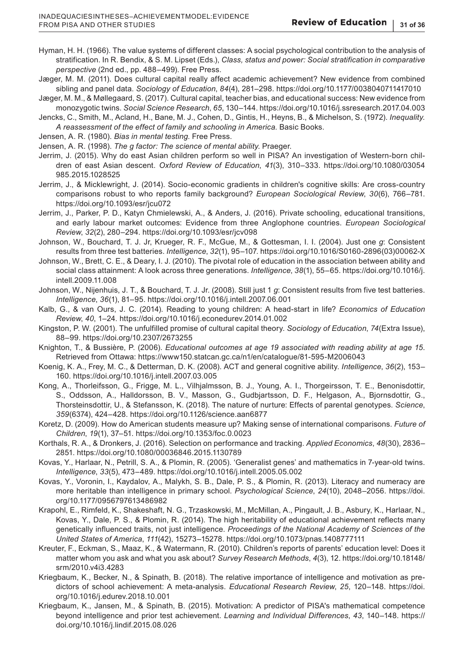- Hyman, H. H. (1966). The value systems of different classes: A social psychological contribution to the analysis of stratification. In R. Bendix, & S. M. Lipset (Eds.), *Class, status and power: Social stratification in comparative perspective* (2nd ed., pp. 488–499). Free Press.
- Jæger, M. M. (2011). Does cultural capital really affect academic achievement? New evidence from combined sibling and panel data. *Sociology of Education*, *84*(4), 281–298. <https://doi.org/10.1177/0038040711417010>
- Jæger, M. M., & Møllegaard, S. (2017). Cultural capital, teacher bias, and educational success: New evidence from monozygotic twins. *Social Science Research*, *65*, 130–144.<https://doi.org/10.1016/j.ssresearch.2017.04.003>
- Jencks, C., Smith, M., Acland, H., Bane, M. J., Cohen, D., Gintis, H., Heyns, B., & Michelson, S. (1972). *Inequality. A reassessment of the effect of family and schooling in America*. Basic Books.
- Jensen, A. R. (1980). *Bias in mental testing*. Free Press.
- Jensen, A. R. (1998). *The g factor: The science of mental ability*. Praeger.
- Jerrim, J. (2015). Why do east Asian children perform so well in PISA? An investigation of Western-born children of east Asian descent. *Oxford Review of Education*, *41*(3), 310–333. [https://doi.org/10.1080/03054](https://doi.org/10.1080/03054985.2015.1028525) [985.2015.1028525](https://doi.org/10.1080/03054985.2015.1028525)
- Jerrim, J., & Micklewright, J. (2014). Socio-economic gradients in children's cognitive skills: Are cross-country comparisons robust to who reports family background? *European Sociological Review*, *30*(6), 766–781. <https://doi.org/10.1093/esr/jcu072>
- Jerrim, J., Parker, P. D., Katyn Chmielewski, A., & Anders, J. (2016). Private schooling, educational transitions, and early labour market outcomes: Evidence from three Anglophone countries. *European Sociological Review*, *32*(2), 280–294. <https://doi.org/10.1093/esr/jcv098>
- Johnson, W., Bouchard, T. J. Jr, Krueger, R. F., McGue, M., & Gottesman, I. I. (2004). Just one *g*: Consistent results from three test batteries. *Intelligence*, *32*(1), 95–107. [https://doi.org/10.1016/S0160-2896\(03\)00062-X](https://doi.org/10.1016/S0160-2896(03)00062-X)
- Johnson, W., Brett, C. E., & Deary, I. J. (2010). The pivotal role of education in the association between ability and social class attainment: A look across three generations. *Intelligence*, *38*(1), 55–65. [https://doi.org/10.1016/j.](https://doi.org/10.1016/j.intell.2009.11.008) [intell.2009.11.008](https://doi.org/10.1016/j.intell.2009.11.008)
- Johnson, W., Nijenhuis, J. T., & Bouchard, T. J. Jr. (2008). Still just 1 *g*: Consistent results from five test batteries. *Intelligence*, *36*(1), 81–95.<https://doi.org/10.1016/j.intell.2007.06.001>
- Kalb, G., & van Ours, J. C. (2014). Reading to young children: A head-start in life? *Economics of Education Review*, *40*, 1–24. <https://doi.org/10.1016/j.econedurev.2014.01.002>
- Kingston, P. W. (2001). The unfulfilled promise of cultural capital theory. *Sociology of Education*, *74*(Extra Issue), 88–99. <https://doi.org/10.2307/2673255>
- Knighton, T., & Bussière, P. (2006). *Educational outcomes at age 19 associated with reading ability at age 15*. Retrieved from Ottawa:<https://www150.statcan.gc.ca/n1/en/catalogue/81-595-M2006043>
- Koenig, K. A., Frey, M. C., & Detterman, D. K. (2008). ACT and general cognitive ability. *Intelligence*, *36*(2), 153– 160.<https://doi.org/10.1016/j.intell.2007.03.005>
- Kong, A., Thorleifsson, G., Frigge, M. L., Vilhjalmsson, B. J., Young, A. I., Thorgeirsson, T. E., Benonisdottir, S., Oddsson, A., Halldorsson, B. V., Masson, G., Gudbjartsson, D. F., Helgason, A., Bjornsdottir, G., Thorsteinsdottir, U., & Stefansson, K. (2018). The nature of nurture: Effects of parental genotypes. *Science*, *359*(6374), 424–428. <https://doi.org/10.1126/science.aan6877>
- Koretz, D. (2009). How do American students measure up? Making sense of international comparisons. *Future of Children*, *19*(1), 37–51. <https://doi.org/10.1353/foc.0.0023>
- Korthals, R. A., & Dronkers, J. (2016). Selection on performance and tracking. *Applied Economics*, *48*(30), 2836– 2851.<https://doi.org/10.1080/00036846.2015.1130789>
- Kovas, Y., Harlaar, N., Petrill, S. A., & Plomin, R. (2005). 'Generalist genes' and mathematics in 7-year-old twins. *Intelligence*, *33*(5), 473–489. <https://doi.org/10.1016/j.intell.2005.05.002>
- Kovas, Y., Voronin, I., Kaydalov, A., Malykh, S. B., Dale, P. S., & Plomin, R. (2013). Literacy and numeracy are more heritable than intelligence in primary school. *Psychological Science*, *24*(10), 2048–2056. [https://doi.](https://doi.org/10.1177/0956797613486982) [org/10.1177/0956797613486982](https://doi.org/10.1177/0956797613486982)
- Krapohl, E., Rimfeld, K., Shakeshaft, N. G., Trzaskowski, M., McMillan, A., Pingault, J. B., Asbury, K., Harlaar, N., Kovas, Y., Dale, P. S., & Plomin, R. (2014). The high heritability of educational achievement reflects many genetically influenced traits, not just intelligence. *Proceedings of the National Academy of Sciences of the United States of America*, *111*(42), 15273–15278. <https://doi.org/10.1073/pnas.1408777111>
- Kreuter, F., Eckman, S., Maaz, K., & Watermann, R. (2010). Children's reports of parents' education level: Does it matter whom you ask and what you ask about? *Survey Research Methods*, *4*(3), 12. [https://doi.org/10.18148/](https://doi.org/10.18148/srm/2010.v4i3.4283) [srm/2010.v4i3.4283](https://doi.org/10.18148/srm/2010.v4i3.4283)
- Kriegbaum, K., Becker, N., & Spinath, B. (2018). The relative importance of intelligence and motivation as predictors of school achievement: A meta-analysis. *Educational Research Review*, *25*, 120–148. [https://doi.](https://doi.org/10.1016/j.edurev.2018.10.001) [org/10.1016/j.edurev.2018.10.001](https://doi.org/10.1016/j.edurev.2018.10.001)
- Kriegbaum, K., Jansen, M., & Spinath, B. (2015). Motivation: A predictor of PISA's mathematical competence beyond intelligence and prior test achievement. *Learning and Individual Differences*, *43*, 140–148. [https://](https://doi.org/10.1016/j.lindif.2015.08.026) [doi.org/10.1016/j.lindif.2015.08.026](https://doi.org/10.1016/j.lindif.2015.08.026)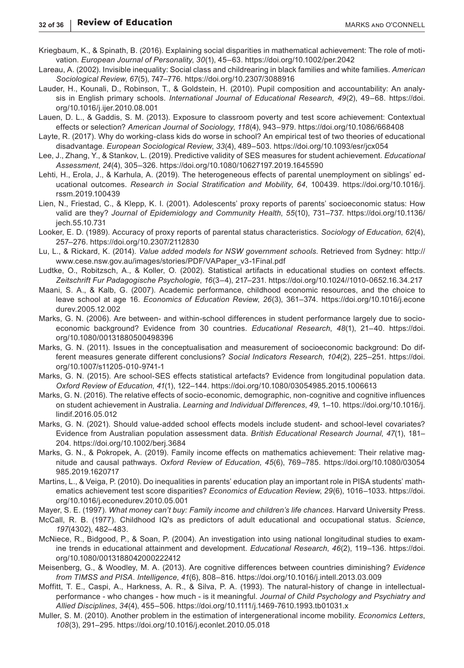- Kriegbaum, K., & Spinath, B. (2016). Explaining social disparities in mathematical achievement: The role of motivation. *European Journal of Personality*, *30*(1), 45–63.<https://doi.org/10.1002/per.2042>
- Lareau, A. (2002). Invisible inequality: Social class and childrearing in black families and white families. *American Sociological Review*, *67*(5), 747–776.<https://doi.org/10.2307/3088916>
- Lauder, H., Kounali, D., Robinson, T., & Goldstein, H. (2010). Pupil composition and accountability: An analysis in English primary schools. *International Journal of Educational Research*, *49*(2), 49–68. [https://doi.](https://doi.org/10.1016/j.ijer.2010.08.001) [org/10.1016/j.ijer.2010.08.001](https://doi.org/10.1016/j.ijer.2010.08.001)
- Lauen, D. L., & Gaddis, S. M. (2013). Exposure to classroom poverty and test score achievement: Contextual effects or selection? *American Journal of Sociology*, *118*(4), 943–979. <https://doi.org/10.1086/668408>
- Layte, R. (2017). Why do working-class kids do worse in school? An empirical test of two theories of educational disadvantage. *European Sociological Review*, *33*(4), 489–503.<https://doi.org/10.1093/esr/jcx054>
- Lee, J., Zhang, Y., & Stankov, L. (2019). Predictive validity of SES measures for student achievement. *Educational Assessment*, *24*(4), 305–326.<https://doi.org/10.1080/10627197.2019.1645590>
- Lehti, H., Erola, J., & Karhula, A. (2019). The heterogeneous effects of parental unemployment on siblings' educational outcomes. *Research in Social Stratification and Mobility*, *64*, 100439. [https://doi.org/10.1016/j.](https://doi.org/10.1016/j.rssm.2019.100439) [rssm.2019.100439](https://doi.org/10.1016/j.rssm.2019.100439)
- Lien, N., Friestad, C., & Klepp, K. I. (2001). Adolescents' proxy reports of parents' socioeconomic status: How valid are they? *Journal of Epidemiology and Community Health*, *55*(10), 731–737. [https://doi.org/10.1136/](https://doi.org/10.1136/jech.55.10.731) [jech.55.10.731](https://doi.org/10.1136/jech.55.10.731)
- Looker, E. D. (1989). Accuracy of proxy reports of parental status characteristics. *Sociology of Education*, *62*(4), 257–276.<https://doi.org/10.2307/2112830>
- Lu, L., & Rickard, K. (2014). *Value added models for NSW government schools*. Retrieved from Sydney: [http://](http://www.cese.nsw.gov.au/images/stories/PDF/VAPaper_v3-1Final.pdf) [www.cese.nsw.gov.au/images/stories/PDF/VAPaper\\_v3-1Final.pdf](http://www.cese.nsw.gov.au/images/stories/PDF/VAPaper_v3-1Final.pdf)
- Ludtke, O., Robitzsch, A., & Koller, O. (2002). Statistical artifacts in educational studies on context effects. *Zeitschrift Fur Padagogische Psychologie*, *16*(3–4), 217–231. <https://doi.org/10.1024//1010-0652.16.34.217>
- Maani, S. A., & Kalb, G. (2007). Academic performance, childhood economic resources, and the choice to leave school at age 16. *Economics of Education Review*, *26*(3), 361–374. [https://doi.org/10.1016/j.econe](https://doi.org/10.1016/j.econedurev.2005.12.002) [durev.2005.12.002](https://doi.org/10.1016/j.econedurev.2005.12.002)
- Marks, G. N. (2006). Are between- and within-school differences in student performance largely due to socioeconomic background? Evidence from 30 countries. *Educational Research*, *48*(1), 21–40. [https://doi.](https://doi.org/10.1080/00131880500498396) [org/10.1080/00131880500498396](https://doi.org/10.1080/00131880500498396)
- Marks, G. N. (2011). Issues in the conceptualisation and measurement of socioeconomic background: Do different measures generate different conclusions? *Social Indicators Research*, *104*(2), 225–251. [https://doi.](https://doi.org/10.1007/s11205-010-9741-1) [org/10.1007/s11205-010-9741-1](https://doi.org/10.1007/s11205-010-9741-1)
- Marks, G. N. (2015). Are school-SES effects statistical artefacts? Evidence from longitudinal population data. *Oxford Review of Education*, *41*(1), 122–144.<https://doi.org/10.1080/03054985.2015.1006613>
- Marks, G. N. (2016). The relative effects of socio-economic, demographic, non-cognitive and cognitive influences on student achievement in Australia. *Learning and Individual Differences*, *49*, 1–10. [https://doi.org/10.1016/j.](https://doi.org/10.1016/j.lindif.2016.05.012) [lindif.2016.05.012](https://doi.org/10.1016/j.lindif.2016.05.012)
- Marks, G. N. (2021). Should value-added school effects models include student- and school-level covariates? Evidence from Australian population assessment data. *British Educational Research Journal*, *47*(1), 181– 204. <https://doi.org/10.1002/berj.3684>
- Marks, G. N., & Pokropek, A. (2019). Family income effects on mathematics achievement: Their relative magnitude and causal pathways. *Oxford Review of Education*, *45*(6), 769–785. [https://doi.org/10.1080/03054](https://doi.org/10.1080/03054985.2019.1620717) [985.2019.1620717](https://doi.org/10.1080/03054985.2019.1620717)
- Martins, L., & Veiga, P. (2010). Do inequalities in parents' education play an important role in PISA students' mathematics achievement test score disparities? *Economics of Education Review*, *29*(6), 1016–1033. [https://doi.](https://doi.org/10.1016/j.econedurev.2010.05.001) [org/10.1016/j.econedurev.2010.05.001](https://doi.org/10.1016/j.econedurev.2010.05.001)
- Mayer, S. E. (1997). *What money can't buy: Family income and children's life chances*. Harvard University Press.
- McCall, R. B. (1977). Childhood IQ's as predictors of adult educational and occupational status. *Science*, *197*(4302), 482–483.
- McNiece, R., Bidgood, P., & Soan, P. (2004). An investigation into using national longitudinal studies to examine trends in educational attainment and development. *Educational Research*, *46*(2), 119–136. [https://doi.](https://doi.org/10.1080/0013188042000222412) [org/10.1080/0013188042000222412](https://doi.org/10.1080/0013188042000222412)
- Meisenberg, G., & Woodley, M. A. (2013). Are cognitive differences between countries diminishing? *Evidence from TIMSS and PISA. Intelligence*, *41*(6), 808–816.<https://doi.org/10.1016/j.intell.2013.03.009>
- Moffitt, T. E., Caspi, A., Harkness, A. R., & Silva, P. A. (1993). The natural-history of change in intellectualperformance - who changes - how much - is it meaningful. *Journal of Child Psychology and Psychiatry and Allied Disciplines*, *34*(4), 455–506.<https://doi.org/10.1111/j.1469-7610.1993.tb01031.x>
- Muller, S. M. (2010). Another problem in the estimation of intergenerational income mobility. *Economics Letters*, *108*(3), 291–295.<https://doi.org/10.1016/j.econlet.2010.05.018>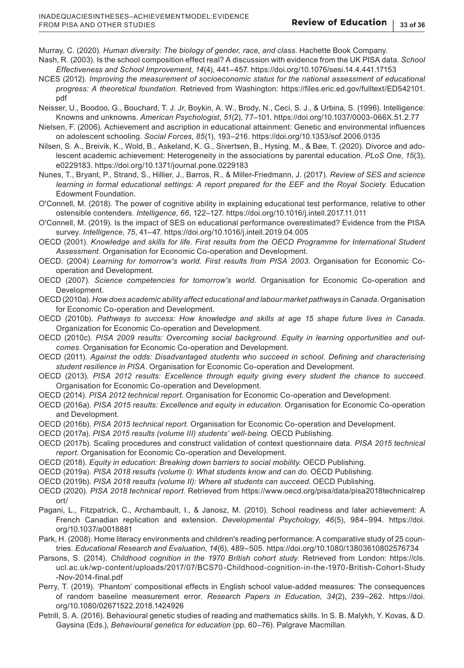Murray, C. (2020). *Human diversity: The biology of gender, race, and class*. Hachette Book Company. Nash, R. (2003). Is the school composition effect real? A discussion with evidence from the UK PISA data. *School* 

*Effectiveness and School Improvement*, *14*(4), 441–457.<https://doi.org/10.1076/sesi.14.4.441.17153>

- NCES (2012). *Improving the measurement of socioeconomic status for the national assessment of educational progress: A theoretical foundation*. Retrieved from Washington: [https://files.eric.ed.gov/fulltext/ED542101.](https://files.eric.ed.gov/fulltext/ED542101.pdf) [pdf](https://files.eric.ed.gov/fulltext/ED542101.pdf)
- Neisser, U., Boodoo, G., Bouchard, T. J. Jr, Boykin, A. W., Brody, N., Ceci, S. J., & Urbina, S. (1996). Intelligence: Knowns and unknowns. *American Psychologist*, *51*(2), 77–101.<https://doi.org/10.1037/0003-066X.51.2.77>
- Nielsen, F. (2006). Achievement and ascription in educational attainment: Genetic and environmental influences on adolescent schooling. *Social Forces*, *85*(1), 193–216.<https://doi.org/10.1353/sof.2006.0135>
- Nilsen, S. A., Breivik, K., Wold, B., Askeland, K. G., Sivertsen, B., Hysing, M., & Bøe, T. (2020). Divorce and adolescent academic achievement: Heterogeneity in the associations by parental education. *PLoS One*, *15*(3), e0229183.<https://doi.org/10.1371/journal.pone.0229183>
- Nunes, T., Bryant, P., Strand, S., Hillier, J., Barros, R., & Miller-Friedmann, J. (2017). *Review of SES and science learning in formal educational settings: A report prepared for the EEF and the Royal Society*. Education Edowment Foundation.
- O'Connell, M. (2018). The power of cognitive ability in explaining educational test performance, relative to other ostensible contenders. *Intelligence*, *66*, 122–127.<https://doi.org/10.1016/j.intell.2017.11.011>
- O'Connell, M. (2019). Is the impact of SES on educational performance overestimated? Evidence from the PISA survey. *Intelligence*, *75*, 41–47. <https://doi.org/10.1016/j.intell.2019.04.005>
- OECD (2001). *Knowledge and skills for life. First results from the OECD Programme for International Student Assessment*. Organisation for Economic Co-operation and Development.
- OECD. (2004) *Learning for tomorrow's world. First results from PISA 2003*. Organisation for Economic Cooperation and Development.
- OECD (2007). *Science competencies for tomorrow's world*. Organisation for Economic Co-operation and Development.
- OECD (2010a). *How does academic ability affect educational and labour market pathways in Canada*. Organisation for Economic Co-operation and Development.
- OECD (2010b). *Pathways to success: How knowledge and skills at age 15 shape future lives in Canada*. Organization for Economic Co-operation and Development.
- OECD (2010c). *PISA 2009 results: Overcoming social background. Equity in learning opportunities and outcomes*. Organisation for Economic Co-operation and Development.
- OECD (2011). *Against the odds: Disadvantaged students who succeed in school. Defining and characterising student resilience in PISA*. Organisation for Economic Co-operation and Development.
- OECD (2013). *PISA 2012 results: Excellence through equity giving every student the chance to succeed*. Organisation for Economic Co-operation and Development.
- OECD (2014). *PISA 2012 technical report*. Organisation for Economic Co-operation and Development.
- OECD (2016a). *PISA 2015 results: Excellence and equity in education*. Organisation for Economic Co-operation and Development.
- OECD (2016b). *PISA 2015 technical report*. Organisation for Economic Co-operation and Development.
- OECD (2017a). *PISA 2015 results (volume III) students' well-being*. OECD Publishing.
- OECD (2017b). Scaling procedures and construct validation of context questionnaire data. *PISA 2015 technical report*. Organisation for Economic Co-operation and Development.
- OECD (2018). *Equity in education: Breaking down barriers to social mobility*. OECD Publishing.
- OECD (2019a). *PISA 2018 results (volume I): What students know and can do*. OECD Publishing.
- OECD (2019b). *PISA 2018 results (volume II): Where all students can succeed*. OECD Publishing.
- OECD (2020). *PISA 2018 technical report*. Retrieved from [https://www.oecd.org/pisa/data/pisa2018technicalrep](https://www.oecd.org/pisa/data/pisa2018technicalreport/) [ort/](https://www.oecd.org/pisa/data/pisa2018technicalreport/)
- Pagani, L., Fitzpatrick, C., Archambault, I., & Janosz, M. (2010). School readiness and later achievement: A French Canadian replication and extension. *Developmental Psychology*, *46*(5), 984–994. [https://doi.](https://doi.org/10.1037/a0018881) [org/10.1037/a0018881](https://doi.org/10.1037/a0018881)
- Park, H. (2008). Home literacy environments and children's reading performance: A comparative study of 25 countries. *Educational Research and Evaluation*, *14*(6), 489–505. <https://doi.org/10.1080/13803610802576734>
- Parsons, S. (2014). *Childhood cognition in the 1970 British cohort study*. Retrieved from London: [https://cls.](https://cls.ucl.ac.uk/wp-content/uploads/2017/07/BCS70-Childhood-cognition-in-the-1970-British-Cohort-Study-Nov-2014-final.pdf) [ucl.ac.uk/wp-content/uploads/2017/07/BCS70-Childhood-cognition-in-the-1970-British-Cohort-Study](https://cls.ucl.ac.uk/wp-content/uploads/2017/07/BCS70-Childhood-cognition-in-the-1970-British-Cohort-Study-Nov-2014-final.pdf) [-Nov-2014-final.pdf](https://cls.ucl.ac.uk/wp-content/uploads/2017/07/BCS70-Childhood-cognition-in-the-1970-British-Cohort-Study-Nov-2014-final.pdf)
- Perry, T. (2019). 'Phantom' compositional effects in English school value-added measures: The consequences of random baseline measurement error. *Research Papers in Education*, *34*(2), 239–262. [https://doi.](https://doi.org/10.1080/02671522.2018.1424926) [org/10.1080/02671522.2018.1424926](https://doi.org/10.1080/02671522.2018.1424926)
- Petrill, S. A. (2016). Behavioural genetic studies of reading and mathematics skills. In S. B. Malykh, Y. Kovas, & D. Gaysina (Eds.), *Behavioural genetics for education* (pp. 60–76). Palgrave Macmillan.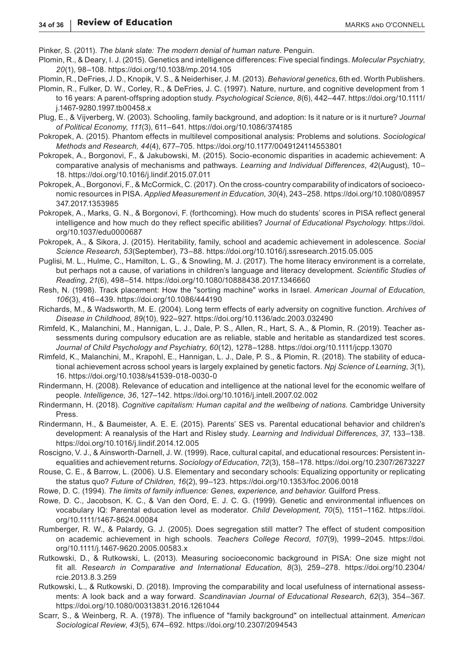Pinker, S. (2011). *The blank slate: The modern denial of human nature*. Penguin.

- Plomin, R., & Deary, I. J. (2015). Genetics and intelligence differences: Five special findings. *Molecular Psychiatry*, *20*(1), 98–108.<https://doi.org/10.1038/mp.2014.105>
- Plomin, R., DeFries, J. D., Knopik, V. S., & Neiderhiser, J. M. (2013). *Behavioral genetics*, 6th ed. Worth Publishers.
- Plomin, R., Fulker, D. W., Corley, R., & DeFries, J. C. (1997). Nature, nurture, and cognitive development from 1 to 16 years: A parent-offspring adoption study. *Psychological Science*, *8*(6), 442–447. [https://doi.org/10.1111/](https://doi.org/10.1111/j.1467-9280.1997.tb00458.x) [j.1467-9280.1997.tb00458.x](https://doi.org/10.1111/j.1467-9280.1997.tb00458.x)
- Plug, E., & Vijverberg, W. (2003). Schooling, family background, and adoption: Is it nature or is it nurture? *Journal of Political Economy*, *111*(3), 611–641.<https://doi.org/10.1086/374185>
- Pokropek, A. (2015). Phantom effects in multilevel compositional analysis: Problems and solutions. *Sociological Methods and Research*, *44*(4), 677–705. <https://doi.org/10.1177/0049124114553801>
- Pokropek, A., Borgonovi, F., & Jakubowski, M. (2015). Socio-economic disparities in academic achievement: A comparative analysis of mechanisms and pathways. *Learning and Individual Differences*, *42*(August), 10– 18. <https://doi.org/10.1016/j.lindif.2015.07.011>
- Pokropek, A., Borgonovi, F., & McCormick, C. (2017). On the cross-country comparability of indicators of socioeconomic resources in PISA. *Applied Measurement in Education*, *30*(4), 243–258. [https://doi.org/10.1080/08957](https://doi.org/10.1080/08957347.2017.1353985) [347.2017.1353985](https://doi.org/10.1080/08957347.2017.1353985)
- Pokropek, A., Marks, G. N., & Borgonovi, F. (forthcoming). How much do students' scores in PISA reflect general intelligence and how much do they reflect specific abilities? *Journal of Educational Psychology*. [https://doi.](https://doi.org/10.1037/edu0000687) [org/10.1037/edu0000687](https://doi.org/10.1037/edu0000687)
- Pokropek, A., & Sikora, J. (2015). Heritability, family, school and academic achievement in adolescence. *Social Science Research*, *53*(September), 73–88. <https://doi.org/10.1016/j.ssresearch.2015.05.005>
- Puglisi, M. L., Hulme, C., Hamilton, L. G., & Snowling, M. J. (2017). The home literacy environment is a correlate, but perhaps not a cause, of variations in children's language and literacy development. *Scientific Studies of Reading*, *21*(6), 498–514.<https://doi.org/10.1080/10888438.2017.1346660>
- Resh, N. (1998). Track placement: How the "sorting machine" works in Israel. *American Journal of Education*, *106*(3), 416–439. <https://doi.org/10.1086/444190>
- Richards, M., & Wadsworth, M. E. (2004). Long term effects of early adversity on cognitive function. *Archives of Disease in Childhood*, *89*(10), 922–927.<https://doi.org/10.1136/adc.2003.032490>
- Rimfeld, K., Malanchini, M., Hannigan, L. J., Dale, P. S., Allen, R., Hart, S. A., & Plomin, R. (2019). Teacher assessments during compulsory education are as reliable, stable and heritable as standardized test scores. *Journal of Child Psychology and Psychiatry*, *60*(12), 1278–1288. <https://doi.org/10.1111/jcpp.13070>
- Rimfeld, K., Malanchini, M., Krapohl, E., Hannigan, L. J., Dale, P. S., & Plomin, R. (2018). The stability of educational achievement across school years is largely explained by genetic factors. *Npj Science of Learning*, *3*(1), 16. <https://doi.org/10.1038/s41539-018-0030-0>
- Rindermann, H. (2008). Relevance of education and intelligence at the national level for the economic welfare of people. *Intelligence*, *36*, 127–142. <https://doi.org/10.1016/j.intell.2007.02.002>
- Rindermann, H. (2018). *Cognitive capitalism: Human capital and the wellbeing of nations*. Cambridge University Press.
- Rindermann, H., & Baumeister, A. E. E. (2015). Parents' SES vs. Parental educational behavior and children's development: A reanalysis of the Hart and Risley study. *Learning and Individual Differences*, *37*, 133–138. <https://doi.org/10.1016/j.lindif.2014.12.005>
- Roscigno, V. J., & Ainsworth-Darnell, J. W. (1999). Race, cultural capital, and educational resources: Persistent inequalities and achievement returns. *Sociology of Education*, *72*(3), 158–178.<https://doi.org/10.2307/2673227>
- Rouse, C. E., & Barrow, L. (2006). U.S. Elementary and secondary schools: Equalizing opportunity or replicating the status quo? *Future of Children*, *16*(2), 99–123.<https://doi.org/10.1353/foc.2006.0018>
- Rowe, D. C. (1994). *The limits of family influence: Genes, experience, and behavior*. Guilford Press.
- Rowe, D. C., Jacobson, K. C., & Van den Oord, E. J. C. G. (1999). Genetic and environmental influences on vocabulary IQ: Parental education level as moderator. *Child Development*, *70*(5), 1151–1162. [https://doi.](https://doi.org/10.1111/1467-8624.00084) [org/10.1111/1467-8624.00084](https://doi.org/10.1111/1467-8624.00084)
- Rumberger, R. W., & Palardy, G. J. (2005). Does segregation still matter? The effect of student composition on academic achievement in high schools. *Teachers College Record*, *107*(9), 1999–2045. [https://doi.](https://doi.org/10.1111/j.1467-9620.2005.00583.x) [org/10.1111/j.1467-9620.2005.00583.x](https://doi.org/10.1111/j.1467-9620.2005.00583.x)
- Rutkowski, D., & Rutkowski, L. (2013). Measuring socioeconomic background in PISA: One size might not fit all. *Research in Comparative and International Education*, *8*(3), 259–278. [https://doi.org/10.2304/](https://doi.org/10.2304/rcie.2013.8.3.259) [rcie.2013.8.3.259](https://doi.org/10.2304/rcie.2013.8.3.259)
- Rutkowski, L., & Rutkowski, D. (2018). Improving the comparability and local usefulness of international assessments: A look back and a way forward. *Scandinavian Journal of Educational Research*, *62*(3), 354–367. <https://doi.org/10.1080/00313831.2016.1261044>
- Scarr, S., & Weinberg, R. A. (1978). The influence of "family background" on intellectual attainment. *American Sociological Review*, *43*(5), 674–692.<https://doi.org/10.2307/2094543>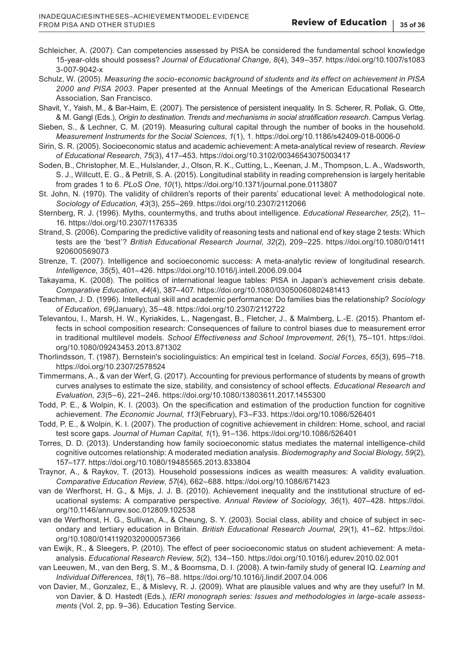- Schleicher, A. (2007). Can competencies assessed by PISA be considered the fundamental school knowledge 15-year-olds should possess? *Journal of Educational Change*, *8*(4), 349–357. [https://doi.org/10.1007/s1083](https://doi.org/10.1007/s10833-007-9042-x) [3-007-9042-x](https://doi.org/10.1007/s10833-007-9042-x)
- Schulz, W. (2005). *Measuring the socio-economic background of students and its effect on achievement in PISA 2000 and PISA 2003*. Paper presented at the Annual Meetings of the American Educational Research Association, San Francisco.
- Shavit, Y., Yaish, M., & Bar-Haim, E. (2007). The persistence of persistent inequality. In S. Scherer, R. Pollak, G. Otte, & M. Gangl (Eds.), *Origin to destination. Trends and mechanisms in social stratification research*. Campus Verlag.
- Sieben, S., & Lechner, C. M. (2019). Measuring cultural capital through the number of books in the household. *Measurement Instruments for the Social Sciences*, *1*(1), 1.<https://doi.org/10.1186/s42409-018-0006-0>
- Sirin, S. R. (2005). Socioeconomic status and academic achievement: A meta-analytical review of research. *Review of Educational Research*, *75*(3), 417–453. <https://doi.org/10.3102/00346543075003417>
- Soden, B., Christopher, M. E., Hulslander, J., Olson, R. K., Cutting, L., Keenan, J. M., Thompson, L. A., Wadsworth, S. J., Willcutt, E. G., & Petrill, S. A. (2015). Longitudinal stability in reading comprehension is largely heritable from grades 1 to 6. *PLoS One*, *10*(1),<https://doi.org/10.1371/journal.pone.0113807>
- St. John, N. (1970). The validity of children's reports of their parents' educational level: A methodological note. *Sociology of Education*, *43*(3), 255–269.<https://doi.org/10.2307/2112066>
- Sternberg, R. J. (1996). Myths, countermyths, and truths about intelligence. *Educational Researcher*, *25*(2), 11– 16. <https://doi.org/10.2307/1176335>
- Strand, S. (2006). Comparing the predictive validity of reasoning tests and national end of key stage 2 tests: Which tests are the 'best'? *British Educational Research Journal*, *32*(2), 209–225. [https://doi.org/10.1080/01411](https://doi.org/10.1080/01411920600569073) [920600569073](https://doi.org/10.1080/01411920600569073)
- Strenze, T. (2007). Intelligence and socioeconomic success: A meta-analytic review of longitudinal research. *Intelligence*, *35*(5), 401–426.<https://doi.org/10.1016/j.intell.2006.09.004>
- Takayama, K. (2008). The politics of international league tables: PISA in Japan's achievement crisis debate. *Comparative Education*, *44*(4), 387–407.<https://doi.org/10.1080/03050060802481413>
- Teachman, J. D. (1996). Intellectual skill and academic performance: Do families bias the relationship? *Sociology of Education*, *69*(January), 35–48.<https://doi.org/10.2307/2112722>
- Televantou, I., Marsh, H. W., Kyriakides, L., Nagengast, B., Fletcher, J., & Malmberg, L.-E. (2015). Phantom effects in school composition research: Consequences of failure to control biases due to measurement error in traditional multilevel models. *School Effectiveness and School Improvement*, *26*(1), 75–101. [https://doi.](https://doi.org/10.1080/09243453.2013.871302) [org/10.1080/09243453.2013.871302](https://doi.org/10.1080/09243453.2013.871302)
- Thorlindsson, T. (1987). Bernstein's sociolinguistics: An empirical test in Iceland. *Social Forces*, *65*(3), 695–718. <https://doi.org/10.2307/2578524>
- Timmermans, A., & van der Werf, G. (2017). Accounting for previous performance of students by means of growth curves analyses to estimate the size, stability, and consistency of school effects. *Educational Research and Evaluation*, *23*(5–6), 221–246.<https://doi.org/10.1080/13803611.2017.1455300>
- Todd, P. E., & Wolpin, K. I. (2003). On the specification and estimation of the production function for cognitive achievement. *The Economic Journal*, *113*(February), F3–F33.<https://doi.org/10.1086/526401>
- Todd, P. E., & Wolpin, K. I. (2007). The production of cognitive achievement in children: Home, school, and racial test score gaps. *Journal of Human Capital*, *1*(1), 91–136.<https://doi.org/10.1086/526401>
- Torres, D. D. (2013). Understanding how family socioeconomic status mediates the maternal intelligence-child cognitive outcomes relationship: A moderated mediation analysis. *Biodemography and Social Biology*, *59*(2), 157–177. <https://doi.org/10.1080/19485565.2013.833804>
- Traynor, A., & Raykov, T. (2013). Household possessions indices as wealth measures: A validity evaluation. *Comparative Education Review*, *57*(4), 662–688. <https://doi.org/10.1086/671423>
- van de Werfhorst, H. G., & Mijs, J. J. B. (2010). Achievement inequality and the institutional structure of educational systems: A comparative perspective. *Annual Review of Sociology*, *36*(1), 407–428. [https://doi.](https://doi.org/10.1146/annurev.soc.012809.102538) [org/10.1146/annurev.soc.012809.102538](https://doi.org/10.1146/annurev.soc.012809.102538)
- van de Werfhorst, H. G., Sullivan, A., & Cheung, S. Y. (2003). Social class, ability and choice of subject in secondary and tertiary education in Britain. *British Educational Research Journal*, *29*(1), 41–62. [https://doi.](https://doi.org/10.1080/0141192032000057366) [org/10.1080/0141192032000057366](https://doi.org/10.1080/0141192032000057366)
- van Ewijk, R., & Sleegers, P. (2010). The effect of peer socioeconomic status on student achievement: A metaanalysis. *Educational Research Review*, *5*(2), 134–150.<https://doi.org/10.1016/j.edurev.2010.02.001>
- van Leeuwen, M., van den Berg, S. M., & Boomsma, D. I. (2008). A twin-family study of general IQ. *Learning and Individual Differences*, *18*(1), 76–88. <https://doi.org/10.1016/j.lindif.2007.04.006>
- von Davier, M., Gonzalez, E., & Mislevy, R. J. (2009). What are plausible values and why are they useful? In M. von Davier, & D. Hastedt (Eds.), *IERI monograph series: Issues and methodologies in large-scale assessments* (Vol. 2, pp. 9–36). Education Testing Service.